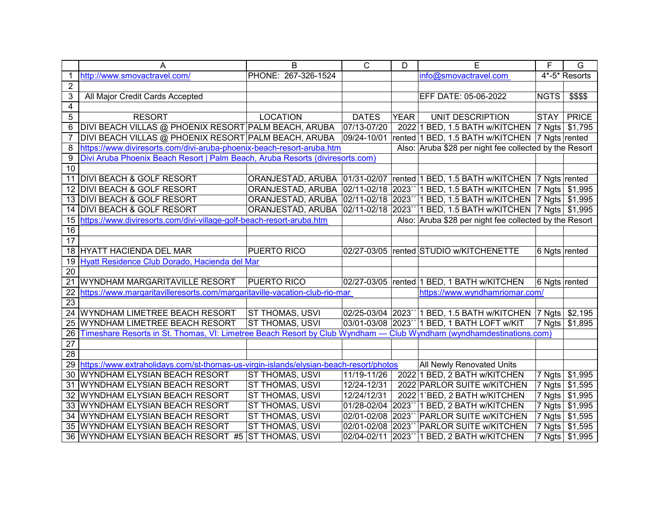| PHONE: 267-326-1524<br>info@smovactravel.com<br>4*-5* Resorts<br>http://www.smovactravel.com/<br>$\overline{2}$<br>3<br>All Major Credit Cards Accepted<br>EFF DATE: 05-06-2022<br><b>NGTS</b><br>\$\$\$\$<br>$\overline{4}$<br>$\overline{5}$<br><b>DATES</b><br><b>PRICE</b><br><b>RESORT</b><br><b>LOCATION</b><br><b>YEAR</b><br><b>STAY</b><br>UNIT DESCRIPTION<br>07/13-07/20<br>DIVI BEACH VILLAS @ PHOENIX RESORT PALM BEACH, ARUBA<br>2022 1 BED, 1.5 BATH w/KITCHEN   7 Ngts<br>\$1,795<br>6<br>DIVI BEACH VILLAS @ PHOENIX RESORT PALM BEACH, ARUBA<br>09/24-10/01<br>rented 1 BED, 1.5 BATH w/KITCHEN 7 Ngts rented<br>https://www.diviresorts.com/divi-aruba-phoenix-beach-resort-aruba.htm<br>Also: Aruba \$28 per night fee collected by the Resort<br>8<br>Divi Aruba Phoenix Beach Resort   Palm Beach, Aruba Resorts (diviresorts.com)<br>9<br>10<br>11 DIVI BEACH & GOLF RESORT<br>ORANJESTAD, ARUBA 01/31-02/07 rented 1 BED, 1.5 BATH w/KITCHEN 7 Ngts rented<br>ORANJESTAD, ARUBA  02/11-02/18  2023`` 1 BED, 1.5 BATH w/KITCHEN  7 Ngts   \$1,995<br>12 DIVI BEACH & GOLF RESORT<br>ORANJESTAD, ARUBA  02/11-02/18  2023`` 1 BED, 1.5 BATH w/KITCHEN  7 Ngts   \$1,995<br>13 DIVI BEACH & GOLF RESORT<br>ORANJESTAD, ARUBA 02/11-02/18<br>2023" 1 BED, 1.5 BATH w/KITCHEN   7 Ngts   \$1,995<br>14 DIVI BEACH & GOLF RESORT<br>https://www.diviresorts.com/divi-village-golf-beach-resort-aruba.htm<br>Also: Aruba \$28 per night fee collected by the Resort<br>15<br>16<br>17<br>18 HYATT HACIENDA DEL MAR<br><b>PUERTO RICO</b><br>02/27-03/05<br>rented STUDIO w/KITCHENETTE<br>6 Ngts rented<br>Hyatt Residence Club Dorado, Hacienda del Mar<br>19<br>20<br><b>PUERTO RICO</b><br>WYNDHAM MARGARITAVILLE RESORT<br>02/27-03/05<br>rented 1 BED, 1 BATH w/KITCHEN<br>6 Ngts rented<br>21<br>https://www.wyndhamriomar.com/<br>https://www.margaritavilleresorts.com/margaritaville-vacation-club-rio-mar<br>22<br>$\overline{23}$<br>WYNDHAM LIMETREE BEACH RESORT<br><b>ST THOMAS, USVI</b><br>02/25-03/04 2023`` 1 BED, 1.5 BATH w/KITCHEN  7 Ngts  <br>\$2,195<br>24<br><b>ST THOMAS, USVI</b><br>\$1,895<br>03/01-03/08 2023" 1 BED, 1 BATH LOFT w/KIT<br>7 Ngts<br>WYNDHAM LIMETREE BEACH RESORT<br>25<br>Timeshare Resorts in St. Thomas, VI: Limetree Beach Resort by Club Wyndham — Club Wyndham (wyndhamdestinations.com)<br>26<br>$\overline{27}$<br>28<br>29 https://www.extraholidays.com/st-thomas-us-virgin-islands/elysian-beach-resort/photos<br><b>All Newly Renovated Units</b><br>WYNDHAM ELYSIAN BEACH RESORT<br>ST THOMAS, USVI<br>11/19-11/26<br>2022 1 BED, 2 BATH w/KITCHEN<br>7 Ngts<br>\$1,995<br>30<br>ST THOMAS, USVI<br>12/24-12/31<br>2022 PARLOR SUITE W/KITCHEN<br>$ 7 \text{ Ngts} $<br>\$1,595<br>31 WYNDHAM ELYSIAN BEACH RESORT<br>ST THOMAS, USVI<br>12/24/12/31<br>2022 1'BED, 2 BATH w/KITCHEN<br>7 Ngts<br>\$1,995<br>32 WYNDHAM ELYSIAN BEACH RESORT<br>\$1,995<br>ST THOMAS, USVI<br>01/28-02/04<br>2023" 1 BED, 2 BATH w/KITCHEN<br>7 Ngts<br>33 WYNDHAM ELYSIAN BEACH RESORT<br>ST THOMAS, USVI<br>02/01-02/08<br>2023" PARLOR SUITE w/KITCHEN<br>7 Ngts<br>\$1,595<br>34 WYNDHAM ELYSIAN BEACH RESORT<br>ST THOMAS, USVI<br>02/01-02/08<br>2023<br>PARLOR SUITE w/KITCHEN<br>7 Ngts<br>\$1,595<br>35 WYNDHAM ELYSIAN BEACH RESORT<br><b>ST THOMAS, USVI</b><br>02/04-02/11<br>2023`` 1 BED, 2 BATH w/KITCHEN<br>7 Ngts \$1,995<br>36 WYNDHAM ELYSIAN BEACH RESORT #5 | A | B | $\overline{C}$ | D | E | F | $\overline{G}$ |
|-----------------------------------------------------------------------------------------------------------------------------------------------------------------------------------------------------------------------------------------------------------------------------------------------------------------------------------------------------------------------------------------------------------------------------------------------------------------------------------------------------------------------------------------------------------------------------------------------------------------------------------------------------------------------------------------------------------------------------------------------------------------------------------------------------------------------------------------------------------------------------------------------------------------------------------------------------------------------------------------------------------------------------------------------------------------------------------------------------------------------------------------------------------------------------------------------------------------------------------------------------------------------------------------------------------------------------------------------------------------------------------------------------------------------------------------------------------------------------------------------------------------------------------------------------------------------------------------------------------------------------------------------------------------------------------------------------------------------------------------------------------------------------------------------------------------------------------------------------------------------------------------------------------------------------------------------------------------------------------------------------------------------------------------------------------------------------------------------------------------------------------------------------------------------------------------------------------------------------------------------------------------------------------------------------------------------------------------------------------------------------------------------------------------------------------------------------------------------------------------------------------------------------------------------------------------------------------------------------------------------------------------------------------------------------------------------------------------------------------------------------------------------------------------------------------------------------------------------------------------------------------------------------------------------------------------------------------------------------------------------------------------------------------------------------------------------------------------------------------------------------------------------------------------------------------------------------------------------------------------------------------------------------------------------------------------------------------------------------------------------------------------------------------------------------------------------|---|---|----------------|---|---|---|----------------|
|                                                                                                                                                                                                                                                                                                                                                                                                                                                                                                                                                                                                                                                                                                                                                                                                                                                                                                                                                                                                                                                                                                                                                                                                                                                                                                                                                                                                                                                                                                                                                                                                                                                                                                                                                                                                                                                                                                                                                                                                                                                                                                                                                                                                                                                                                                                                                                                                                                                                                                                                                                                                                                                                                                                                                                                                                                                                                                                                                                                                                                                                                                                                                                                                                                                                                                                                                                                                                                               |   |   |                |   |   |   |                |
|                                                                                                                                                                                                                                                                                                                                                                                                                                                                                                                                                                                                                                                                                                                                                                                                                                                                                                                                                                                                                                                                                                                                                                                                                                                                                                                                                                                                                                                                                                                                                                                                                                                                                                                                                                                                                                                                                                                                                                                                                                                                                                                                                                                                                                                                                                                                                                                                                                                                                                                                                                                                                                                                                                                                                                                                                                                                                                                                                                                                                                                                                                                                                                                                                                                                                                                                                                                                                                               |   |   |                |   |   |   |                |
|                                                                                                                                                                                                                                                                                                                                                                                                                                                                                                                                                                                                                                                                                                                                                                                                                                                                                                                                                                                                                                                                                                                                                                                                                                                                                                                                                                                                                                                                                                                                                                                                                                                                                                                                                                                                                                                                                                                                                                                                                                                                                                                                                                                                                                                                                                                                                                                                                                                                                                                                                                                                                                                                                                                                                                                                                                                                                                                                                                                                                                                                                                                                                                                                                                                                                                                                                                                                                                               |   |   |                |   |   |   |                |
|                                                                                                                                                                                                                                                                                                                                                                                                                                                                                                                                                                                                                                                                                                                                                                                                                                                                                                                                                                                                                                                                                                                                                                                                                                                                                                                                                                                                                                                                                                                                                                                                                                                                                                                                                                                                                                                                                                                                                                                                                                                                                                                                                                                                                                                                                                                                                                                                                                                                                                                                                                                                                                                                                                                                                                                                                                                                                                                                                                                                                                                                                                                                                                                                                                                                                                                                                                                                                                               |   |   |                |   |   |   |                |
|                                                                                                                                                                                                                                                                                                                                                                                                                                                                                                                                                                                                                                                                                                                                                                                                                                                                                                                                                                                                                                                                                                                                                                                                                                                                                                                                                                                                                                                                                                                                                                                                                                                                                                                                                                                                                                                                                                                                                                                                                                                                                                                                                                                                                                                                                                                                                                                                                                                                                                                                                                                                                                                                                                                                                                                                                                                                                                                                                                                                                                                                                                                                                                                                                                                                                                                                                                                                                                               |   |   |                |   |   |   |                |
|                                                                                                                                                                                                                                                                                                                                                                                                                                                                                                                                                                                                                                                                                                                                                                                                                                                                                                                                                                                                                                                                                                                                                                                                                                                                                                                                                                                                                                                                                                                                                                                                                                                                                                                                                                                                                                                                                                                                                                                                                                                                                                                                                                                                                                                                                                                                                                                                                                                                                                                                                                                                                                                                                                                                                                                                                                                                                                                                                                                                                                                                                                                                                                                                                                                                                                                                                                                                                                               |   |   |                |   |   |   |                |
|                                                                                                                                                                                                                                                                                                                                                                                                                                                                                                                                                                                                                                                                                                                                                                                                                                                                                                                                                                                                                                                                                                                                                                                                                                                                                                                                                                                                                                                                                                                                                                                                                                                                                                                                                                                                                                                                                                                                                                                                                                                                                                                                                                                                                                                                                                                                                                                                                                                                                                                                                                                                                                                                                                                                                                                                                                                                                                                                                                                                                                                                                                                                                                                                                                                                                                                                                                                                                                               |   |   |                |   |   |   |                |
|                                                                                                                                                                                                                                                                                                                                                                                                                                                                                                                                                                                                                                                                                                                                                                                                                                                                                                                                                                                                                                                                                                                                                                                                                                                                                                                                                                                                                                                                                                                                                                                                                                                                                                                                                                                                                                                                                                                                                                                                                                                                                                                                                                                                                                                                                                                                                                                                                                                                                                                                                                                                                                                                                                                                                                                                                                                                                                                                                                                                                                                                                                                                                                                                                                                                                                                                                                                                                                               |   |   |                |   |   |   |                |
|                                                                                                                                                                                                                                                                                                                                                                                                                                                                                                                                                                                                                                                                                                                                                                                                                                                                                                                                                                                                                                                                                                                                                                                                                                                                                                                                                                                                                                                                                                                                                                                                                                                                                                                                                                                                                                                                                                                                                                                                                                                                                                                                                                                                                                                                                                                                                                                                                                                                                                                                                                                                                                                                                                                                                                                                                                                                                                                                                                                                                                                                                                                                                                                                                                                                                                                                                                                                                                               |   |   |                |   |   |   |                |
|                                                                                                                                                                                                                                                                                                                                                                                                                                                                                                                                                                                                                                                                                                                                                                                                                                                                                                                                                                                                                                                                                                                                                                                                                                                                                                                                                                                                                                                                                                                                                                                                                                                                                                                                                                                                                                                                                                                                                                                                                                                                                                                                                                                                                                                                                                                                                                                                                                                                                                                                                                                                                                                                                                                                                                                                                                                                                                                                                                                                                                                                                                                                                                                                                                                                                                                                                                                                                                               |   |   |                |   |   |   |                |
|                                                                                                                                                                                                                                                                                                                                                                                                                                                                                                                                                                                                                                                                                                                                                                                                                                                                                                                                                                                                                                                                                                                                                                                                                                                                                                                                                                                                                                                                                                                                                                                                                                                                                                                                                                                                                                                                                                                                                                                                                                                                                                                                                                                                                                                                                                                                                                                                                                                                                                                                                                                                                                                                                                                                                                                                                                                                                                                                                                                                                                                                                                                                                                                                                                                                                                                                                                                                                                               |   |   |                |   |   |   |                |
|                                                                                                                                                                                                                                                                                                                                                                                                                                                                                                                                                                                                                                                                                                                                                                                                                                                                                                                                                                                                                                                                                                                                                                                                                                                                                                                                                                                                                                                                                                                                                                                                                                                                                                                                                                                                                                                                                                                                                                                                                                                                                                                                                                                                                                                                                                                                                                                                                                                                                                                                                                                                                                                                                                                                                                                                                                                                                                                                                                                                                                                                                                                                                                                                                                                                                                                                                                                                                                               |   |   |                |   |   |   |                |
|                                                                                                                                                                                                                                                                                                                                                                                                                                                                                                                                                                                                                                                                                                                                                                                                                                                                                                                                                                                                                                                                                                                                                                                                                                                                                                                                                                                                                                                                                                                                                                                                                                                                                                                                                                                                                                                                                                                                                                                                                                                                                                                                                                                                                                                                                                                                                                                                                                                                                                                                                                                                                                                                                                                                                                                                                                                                                                                                                                                                                                                                                                                                                                                                                                                                                                                                                                                                                                               |   |   |                |   |   |   |                |
|                                                                                                                                                                                                                                                                                                                                                                                                                                                                                                                                                                                                                                                                                                                                                                                                                                                                                                                                                                                                                                                                                                                                                                                                                                                                                                                                                                                                                                                                                                                                                                                                                                                                                                                                                                                                                                                                                                                                                                                                                                                                                                                                                                                                                                                                                                                                                                                                                                                                                                                                                                                                                                                                                                                                                                                                                                                                                                                                                                                                                                                                                                                                                                                                                                                                                                                                                                                                                                               |   |   |                |   |   |   |                |
|                                                                                                                                                                                                                                                                                                                                                                                                                                                                                                                                                                                                                                                                                                                                                                                                                                                                                                                                                                                                                                                                                                                                                                                                                                                                                                                                                                                                                                                                                                                                                                                                                                                                                                                                                                                                                                                                                                                                                                                                                                                                                                                                                                                                                                                                                                                                                                                                                                                                                                                                                                                                                                                                                                                                                                                                                                                                                                                                                                                                                                                                                                                                                                                                                                                                                                                                                                                                                                               |   |   |                |   |   |   |                |
|                                                                                                                                                                                                                                                                                                                                                                                                                                                                                                                                                                                                                                                                                                                                                                                                                                                                                                                                                                                                                                                                                                                                                                                                                                                                                                                                                                                                                                                                                                                                                                                                                                                                                                                                                                                                                                                                                                                                                                                                                                                                                                                                                                                                                                                                                                                                                                                                                                                                                                                                                                                                                                                                                                                                                                                                                                                                                                                                                                                                                                                                                                                                                                                                                                                                                                                                                                                                                                               |   |   |                |   |   |   |                |
|                                                                                                                                                                                                                                                                                                                                                                                                                                                                                                                                                                                                                                                                                                                                                                                                                                                                                                                                                                                                                                                                                                                                                                                                                                                                                                                                                                                                                                                                                                                                                                                                                                                                                                                                                                                                                                                                                                                                                                                                                                                                                                                                                                                                                                                                                                                                                                                                                                                                                                                                                                                                                                                                                                                                                                                                                                                                                                                                                                                                                                                                                                                                                                                                                                                                                                                                                                                                                                               |   |   |                |   |   |   |                |
|                                                                                                                                                                                                                                                                                                                                                                                                                                                                                                                                                                                                                                                                                                                                                                                                                                                                                                                                                                                                                                                                                                                                                                                                                                                                                                                                                                                                                                                                                                                                                                                                                                                                                                                                                                                                                                                                                                                                                                                                                                                                                                                                                                                                                                                                                                                                                                                                                                                                                                                                                                                                                                                                                                                                                                                                                                                                                                                                                                                                                                                                                                                                                                                                                                                                                                                                                                                                                                               |   |   |                |   |   |   |                |
|                                                                                                                                                                                                                                                                                                                                                                                                                                                                                                                                                                                                                                                                                                                                                                                                                                                                                                                                                                                                                                                                                                                                                                                                                                                                                                                                                                                                                                                                                                                                                                                                                                                                                                                                                                                                                                                                                                                                                                                                                                                                                                                                                                                                                                                                                                                                                                                                                                                                                                                                                                                                                                                                                                                                                                                                                                                                                                                                                                                                                                                                                                                                                                                                                                                                                                                                                                                                                                               |   |   |                |   |   |   |                |
|                                                                                                                                                                                                                                                                                                                                                                                                                                                                                                                                                                                                                                                                                                                                                                                                                                                                                                                                                                                                                                                                                                                                                                                                                                                                                                                                                                                                                                                                                                                                                                                                                                                                                                                                                                                                                                                                                                                                                                                                                                                                                                                                                                                                                                                                                                                                                                                                                                                                                                                                                                                                                                                                                                                                                                                                                                                                                                                                                                                                                                                                                                                                                                                                                                                                                                                                                                                                                                               |   |   |                |   |   |   |                |
|                                                                                                                                                                                                                                                                                                                                                                                                                                                                                                                                                                                                                                                                                                                                                                                                                                                                                                                                                                                                                                                                                                                                                                                                                                                                                                                                                                                                                                                                                                                                                                                                                                                                                                                                                                                                                                                                                                                                                                                                                                                                                                                                                                                                                                                                                                                                                                                                                                                                                                                                                                                                                                                                                                                                                                                                                                                                                                                                                                                                                                                                                                                                                                                                                                                                                                                                                                                                                                               |   |   |                |   |   |   |                |
|                                                                                                                                                                                                                                                                                                                                                                                                                                                                                                                                                                                                                                                                                                                                                                                                                                                                                                                                                                                                                                                                                                                                                                                                                                                                                                                                                                                                                                                                                                                                                                                                                                                                                                                                                                                                                                                                                                                                                                                                                                                                                                                                                                                                                                                                                                                                                                                                                                                                                                                                                                                                                                                                                                                                                                                                                                                                                                                                                                                                                                                                                                                                                                                                                                                                                                                                                                                                                                               |   |   |                |   |   |   |                |
|                                                                                                                                                                                                                                                                                                                                                                                                                                                                                                                                                                                                                                                                                                                                                                                                                                                                                                                                                                                                                                                                                                                                                                                                                                                                                                                                                                                                                                                                                                                                                                                                                                                                                                                                                                                                                                                                                                                                                                                                                                                                                                                                                                                                                                                                                                                                                                                                                                                                                                                                                                                                                                                                                                                                                                                                                                                                                                                                                                                                                                                                                                                                                                                                                                                                                                                                                                                                                                               |   |   |                |   |   |   |                |
|                                                                                                                                                                                                                                                                                                                                                                                                                                                                                                                                                                                                                                                                                                                                                                                                                                                                                                                                                                                                                                                                                                                                                                                                                                                                                                                                                                                                                                                                                                                                                                                                                                                                                                                                                                                                                                                                                                                                                                                                                                                                                                                                                                                                                                                                                                                                                                                                                                                                                                                                                                                                                                                                                                                                                                                                                                                                                                                                                                                                                                                                                                                                                                                                                                                                                                                                                                                                                                               |   |   |                |   |   |   |                |
|                                                                                                                                                                                                                                                                                                                                                                                                                                                                                                                                                                                                                                                                                                                                                                                                                                                                                                                                                                                                                                                                                                                                                                                                                                                                                                                                                                                                                                                                                                                                                                                                                                                                                                                                                                                                                                                                                                                                                                                                                                                                                                                                                                                                                                                                                                                                                                                                                                                                                                                                                                                                                                                                                                                                                                                                                                                                                                                                                                                                                                                                                                                                                                                                                                                                                                                                                                                                                                               |   |   |                |   |   |   |                |
|                                                                                                                                                                                                                                                                                                                                                                                                                                                                                                                                                                                                                                                                                                                                                                                                                                                                                                                                                                                                                                                                                                                                                                                                                                                                                                                                                                                                                                                                                                                                                                                                                                                                                                                                                                                                                                                                                                                                                                                                                                                                                                                                                                                                                                                                                                                                                                                                                                                                                                                                                                                                                                                                                                                                                                                                                                                                                                                                                                                                                                                                                                                                                                                                                                                                                                                                                                                                                                               |   |   |                |   |   |   |                |
|                                                                                                                                                                                                                                                                                                                                                                                                                                                                                                                                                                                                                                                                                                                                                                                                                                                                                                                                                                                                                                                                                                                                                                                                                                                                                                                                                                                                                                                                                                                                                                                                                                                                                                                                                                                                                                                                                                                                                                                                                                                                                                                                                                                                                                                                                                                                                                                                                                                                                                                                                                                                                                                                                                                                                                                                                                                                                                                                                                                                                                                                                                                                                                                                                                                                                                                                                                                                                                               |   |   |                |   |   |   |                |
|                                                                                                                                                                                                                                                                                                                                                                                                                                                                                                                                                                                                                                                                                                                                                                                                                                                                                                                                                                                                                                                                                                                                                                                                                                                                                                                                                                                                                                                                                                                                                                                                                                                                                                                                                                                                                                                                                                                                                                                                                                                                                                                                                                                                                                                                                                                                                                                                                                                                                                                                                                                                                                                                                                                                                                                                                                                                                                                                                                                                                                                                                                                                                                                                                                                                                                                                                                                                                                               |   |   |                |   |   |   |                |
|                                                                                                                                                                                                                                                                                                                                                                                                                                                                                                                                                                                                                                                                                                                                                                                                                                                                                                                                                                                                                                                                                                                                                                                                                                                                                                                                                                                                                                                                                                                                                                                                                                                                                                                                                                                                                                                                                                                                                                                                                                                                                                                                                                                                                                                                                                                                                                                                                                                                                                                                                                                                                                                                                                                                                                                                                                                                                                                                                                                                                                                                                                                                                                                                                                                                                                                                                                                                                                               |   |   |                |   |   |   |                |
|                                                                                                                                                                                                                                                                                                                                                                                                                                                                                                                                                                                                                                                                                                                                                                                                                                                                                                                                                                                                                                                                                                                                                                                                                                                                                                                                                                                                                                                                                                                                                                                                                                                                                                                                                                                                                                                                                                                                                                                                                                                                                                                                                                                                                                                                                                                                                                                                                                                                                                                                                                                                                                                                                                                                                                                                                                                                                                                                                                                                                                                                                                                                                                                                                                                                                                                                                                                                                                               |   |   |                |   |   |   |                |
|                                                                                                                                                                                                                                                                                                                                                                                                                                                                                                                                                                                                                                                                                                                                                                                                                                                                                                                                                                                                                                                                                                                                                                                                                                                                                                                                                                                                                                                                                                                                                                                                                                                                                                                                                                                                                                                                                                                                                                                                                                                                                                                                                                                                                                                                                                                                                                                                                                                                                                                                                                                                                                                                                                                                                                                                                                                                                                                                                                                                                                                                                                                                                                                                                                                                                                                                                                                                                                               |   |   |                |   |   |   |                |
|                                                                                                                                                                                                                                                                                                                                                                                                                                                                                                                                                                                                                                                                                                                                                                                                                                                                                                                                                                                                                                                                                                                                                                                                                                                                                                                                                                                                                                                                                                                                                                                                                                                                                                                                                                                                                                                                                                                                                                                                                                                                                                                                                                                                                                                                                                                                                                                                                                                                                                                                                                                                                                                                                                                                                                                                                                                                                                                                                                                                                                                                                                                                                                                                                                                                                                                                                                                                                                               |   |   |                |   |   |   |                |
|                                                                                                                                                                                                                                                                                                                                                                                                                                                                                                                                                                                                                                                                                                                                                                                                                                                                                                                                                                                                                                                                                                                                                                                                                                                                                                                                                                                                                                                                                                                                                                                                                                                                                                                                                                                                                                                                                                                                                                                                                                                                                                                                                                                                                                                                                                                                                                                                                                                                                                                                                                                                                                                                                                                                                                                                                                                                                                                                                                                                                                                                                                                                                                                                                                                                                                                                                                                                                                               |   |   |                |   |   |   |                |
|                                                                                                                                                                                                                                                                                                                                                                                                                                                                                                                                                                                                                                                                                                                                                                                                                                                                                                                                                                                                                                                                                                                                                                                                                                                                                                                                                                                                                                                                                                                                                                                                                                                                                                                                                                                                                                                                                                                                                                                                                                                                                                                                                                                                                                                                                                                                                                                                                                                                                                                                                                                                                                                                                                                                                                                                                                                                                                                                                                                                                                                                                                                                                                                                                                                                                                                                                                                                                                               |   |   |                |   |   |   |                |
|                                                                                                                                                                                                                                                                                                                                                                                                                                                                                                                                                                                                                                                                                                                                                                                                                                                                                                                                                                                                                                                                                                                                                                                                                                                                                                                                                                                                                                                                                                                                                                                                                                                                                                                                                                                                                                                                                                                                                                                                                                                                                                                                                                                                                                                                                                                                                                                                                                                                                                                                                                                                                                                                                                                                                                                                                                                                                                                                                                                                                                                                                                                                                                                                                                                                                                                                                                                                                                               |   |   |                |   |   |   |                |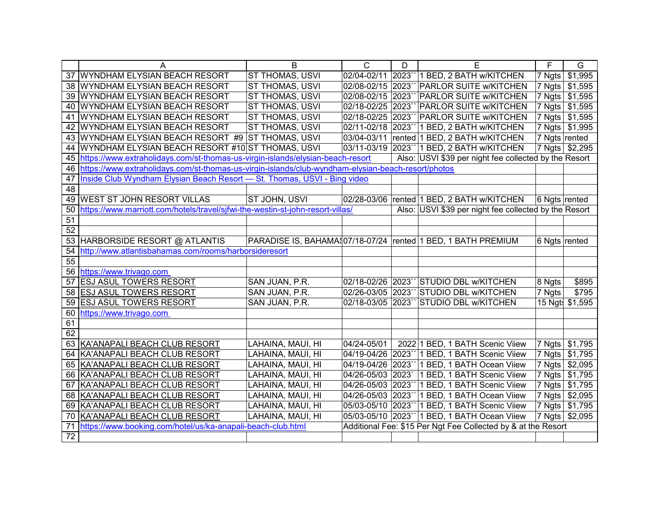|                 | A                                                                                                  | B                 | $\overline{C}$     | D | E                                                              | F                  | G               |
|-----------------|----------------------------------------------------------------------------------------------------|-------------------|--------------------|---|----------------------------------------------------------------|--------------------|-----------------|
|                 | 37 WYNDHAM ELYSIAN BEACH RESORT                                                                    | ST THOMAS, USVI   | 02/04-02/11 2023   |   | 1 BED, 2 BATH w/KITCHEN                                        | 7 Ngts             | \$1,995         |
|                 | 38 WYNDHAM ELYSIAN BEACH RESORT                                                                    | ST THOMAS, USVI   |                    |   | 02/08-02/15 2023" PARLOR SUITE w/KITCHEN                       | 7 Ngts             | \$1,595         |
|                 | 39 WYNDHAM ELYSIAN BEACH RESORT                                                                    | ST THOMAS, USVI   |                    |   | 02/08-02/15 2023" PARLOR SUITE w/KITCHEN                       | 7 Ngts             | \$1,595         |
|                 | 40 WYNDHAM ELYSIAN BEACH RESORT                                                                    | ST THOMAS, USVI   | 02/18-02/25 2023   |   | <b>PARLOR SUITE w/KITCHEN</b>                                  | $ 7 \text{ Ngts} $ | \$1,595         |
|                 | 41 WYNDHAM ELYSIAN BEACH RESORT                                                                    | ST THOMAS, USVI   |                    |   | 02/18-02/25 2023" PARLOR SUITE w/KITCHEN                       | $ 7 \text{ Ngts} $ | \$1,595         |
|                 | 42 WYNDHAM ELYSIAN BEACH RESORT                                                                    | ST THOMAS, USVI   | 02/11-02/18 2023"  |   | 1 BED, 2 BATH w/KITCHEN                                        | $ 7 \text{ Ngts} $ | \$1,995         |
|                 | 43 WYNDHAM ELYSIAN BEACH RESORT #9 ST THOMAS, USVI                                                 |                   | 03/04-03/11        |   | rented 1 BED, 2 BATH w/KITCHEN                                 | 7 Ngts rented      |                 |
| 44              | WYNDHAM ELYSIAN BEACH RESORT #10 ST THOMAS, USVI                                                   |                   |                    |   | 03/11-03/19 2023" 1 BED, 2 BATH w/KITCHEN                      |                    | 7 Ngts \$2,295  |
| 45              | https://www.extraholidays.com/st-thomas-us-virgin-islands/elysian-beach-resort                     |                   |                    |   | Also: USVI \$39 per night fee collected by the Resort          |                    |                 |
| 46              | https://www.extraholidays.com/st-thomas-us-virgin-islands/club-wyndham-elysian-beach-resort/photos |                   |                    |   |                                                                |                    |                 |
| 47              | Inside Club Wyndham Elysian Beach Resort - St. Thomas, USVI - Bing video                           |                   |                    |   |                                                                |                    |                 |
| $\overline{48}$ |                                                                                                    |                   |                    |   |                                                                |                    |                 |
| 49              | <b>WEST ST JOHN RESORT VILLAS</b>                                                                  | ST JOHN, USVI     |                    |   | 02/28-03/06 rented 1 BED, 2 BATH w/KITCHEN                     | 6 Ngts rented      |                 |
| 50              | https://www.marriott.com/hotels/travel/sjfwi-the-westin-st-john-resort-villas/                     |                   |                    |   | Also: USVI \$39 per night fee collected by the Resort          |                    |                 |
| 51              |                                                                                                    |                   |                    |   |                                                                |                    |                 |
| 52              |                                                                                                    |                   |                    |   |                                                                |                    |                 |
| 53              | HARBORSIDE RESORT @ ATLANTIS                                                                       |                   |                    |   | PARADISE IS, BAHAMA\$07/18-07/24  rented 1 BED, 1 BATH PREMIUM | 6 Ngts rented      |                 |
| 54              | http://www.atlantisbahamas.com/rooms/harborsideresort                                              |                   |                    |   |                                                                |                    |                 |
| 55              |                                                                                                    |                   |                    |   |                                                                |                    |                 |
| $\overline{56}$ | https://www.trivago.com                                                                            |                   |                    |   |                                                                |                    |                 |
| 57              | <b>ESJ ASUL TOWERS RESORT</b>                                                                      | SAN JUAN, P.R.    |                    |   | 02/18-02/26 2023" STUDIO DBL w/KITCHEN                         | 8 Ngts             | \$895           |
| 58              | <b>ESJ ASUL TOWERS RESORT</b>                                                                      | SAN JUAN, P.R.    |                    |   | 02/26-03/05 2023" STUDIO DBL w/KITCHEN                         | 7 Ngts             | \$795           |
| 59              | <b>ESJ ASUL TOWERS RESORT</b>                                                                      | SAN JUAN, P.R.    | 02/18-03/05 2023   |   | STUDIO DBL w/KITCHEN                                           |                    | 15 Ngt: \$1,595 |
| 60              | https://www.trivago.com                                                                            |                   |                    |   |                                                                |                    |                 |
| 61              |                                                                                                    |                   |                    |   |                                                                |                    |                 |
| 62              |                                                                                                    |                   |                    |   |                                                                |                    |                 |
|                 | 63 KA'ANAPALI BEACH CLUB RESORT                                                                    | LAHAINA, MAUI, HI | 04/24-05/01        |   | 2022 1 BED, 1 BATH Scenic Viiew                                | 7 Ngts             | \$1,795         |
|                 | 64 KA'ANAPALI BEACH CLUB RESORT                                                                    | LAHAINA, MAUI, HI | 04/19-04/26 2023`` |   | 1 BED, 1 BATH Scenic Viiew                                     | 7 Ngts             | \$1,795         |
|                 | 65 KA'ANAPALI BEACH CLUB RESORT                                                                    | LAHAINA, MAUI, HI | 04/19-04/26 2023"  |   | 1 BED, 1 BATH Ocean Viiew                                      | $ 7 \text{ Ngts} $ | \$2,095         |
|                 | 66 KA'ANAPALI BEACH CLUB RESORT                                                                    | LAHAINA, MAUI, HI | 04/26-05/03 2023   |   | 1 BED, 1 BATH Scenic Viiew                                     | 7 Ngts             | \$1,795         |
|                 | 67 KA'ANAPALI BEACH CLUB RESORT                                                                    | LAHAINA, MAUI, HI | 04/26-05/03 2023"  |   | 1 BED, 1 BATH Scenic Viiew                                     | 7 Ngts             | \$1,795         |
|                 | 68 KA'ANAPALI BEACH CLUB RESORT                                                                    | LAHAINA, MAUI, HI | 04/26-05/03 2023"  |   | 1 BED, 1 BATH Ocean Viiew                                      | 7 Ngts             | \$2,095         |
|                 | 69 KA'ANAPALI BEACH CLUB RESORT                                                                    | LAHAINA, MAUI, HI |                    |   | 05/03-05/10 2023" 1 BED, 1 BATH Scenic Viiew                   | 7 Ngts             | \$1,795         |
| 70              | KA'ANAPALI BEACH CLUB RESORT                                                                       | LAHAINA, MAUI, HI |                    |   | 05/03-05/10 2023" 1 BED, 1 BATH Ocean Viiew                    |                    | 7 Ngts \$2,095  |
| 71              | https://www.booking.com/hotel/us/ka-anapali-beach-club.html                                        |                   |                    |   | Additional Fee: \$15 Per Ngt Fee Collected by & at the Resort  |                    |                 |
| 72              |                                                                                                    |                   |                    |   |                                                                |                    |                 |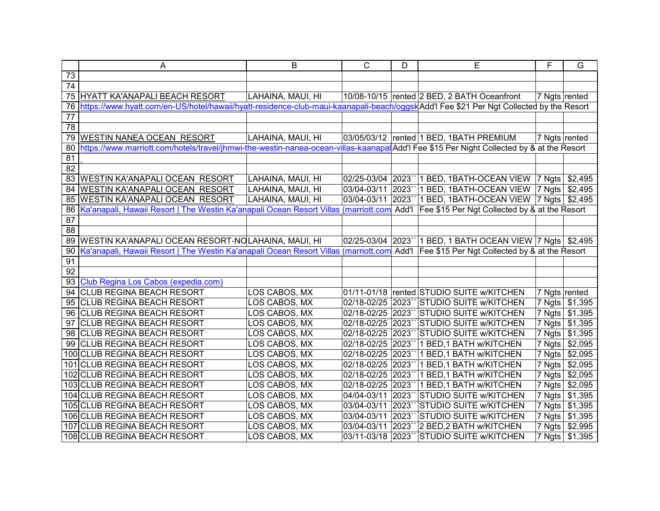|                 | A                                                                                                                                               | B                 | $\mathsf{C}$       | D    | E                                                          | F             | G              |
|-----------------|-------------------------------------------------------------------------------------------------------------------------------------------------|-------------------|--------------------|------|------------------------------------------------------------|---------------|----------------|
| 73              |                                                                                                                                                 |                   |                    |      |                                                            |               |                |
| 74              |                                                                                                                                                 |                   |                    |      |                                                            |               |                |
|                 | 75 HYATT KA'ANAPALI BEACH RESORT                                                                                                                | LAHAINA, MAUI, HI |                    |      | 10/08-10/15 rented 2 BED, 2 BATH Oceanfront                | 7 Ngts rented |                |
| 76              | https://www.hyatt.com/en-US/hotel/hawaii/hyatt-residence-club-maui-kaanapali-beach/oggsk Add'l Fee \$21 Per Ngt Collected by the Resort         |                   |                    |      |                                                            |               |                |
| $\overline{77}$ |                                                                                                                                                 |                   |                    |      |                                                            |               |                |
| 78              |                                                                                                                                                 |                   |                    |      |                                                            |               |                |
|                 | 79 WESTIN NANEA OCEAN RESORT                                                                                                                    | LAHAINA, MAUI, HI |                    |      | 03/05/03/12  rented   1 BED, 1BATH PREMIUM                 |               | 7 Ngts rented  |
| 80              | https://www.marriott.com/hotels/travel/jhmwi-the-westin-nanea-ocean-villas-kaanapa Add'l Fee \$15 Per Night Collected by & at the Resort        |                   |                    |      |                                                            |               |                |
| 81              |                                                                                                                                                 |                   |                    |      |                                                            |               |                |
| $\overline{82}$ |                                                                                                                                                 |                   |                    |      |                                                            |               |                |
|                 | 83 WESTIN KA'ANAPALI OCEAN RESORT                                                                                                               | LAHAINA, MAUI, HI |                    |      | 02/25-03/04 2023`` 1 BED, 1BATH-OCEAN VIEW 7 Ngts \$2,495  |               |                |
| 84              | <b>WESTIN KA'ANAPALI OCEAN RESORT</b>                                                                                                           | LAHAINA, MAUI, HI | 03/04-03/11        |      | 2023" 1 BED, 1BATH-OCEAN VIEW   7 Ngts   \$2,495           |               |                |
| 85              | <b>WESTIN KA'ANAPALI OCEAN RESORT</b>                                                                                                           | LAHAINA, MAUI, HI | 03/04-03/11        |      | 2023" 1 BED, 1BATH-OCEAN VIEW   7 Ngts   \$2,495           |               |                |
| 86              | Ka'anapali, Hawaii Resort   The Westin Ka'anapali Ocean Resort Villas (marriott.com Add'l Fee \$15 Per Ngt Collected by & at the Resort         |                   |                    |      |                                                            |               |                |
| $\overline{87}$ |                                                                                                                                                 |                   |                    |      |                                                            |               |                |
| $\overline{88}$ |                                                                                                                                                 |                   |                    |      |                                                            |               |                |
|                 | 89   WESTIN KA'ANAPALI OCEAN RESORT-NOLAHAINA, MAUI, HI                                                                                         |                   |                    |      | 02/25-03/04 2023`` 1 BED, 1 BATH OCEAN VIEW 7 Ngts \$2,495 |               |                |
| 90<br>91        | <u>Ka'anapali, Hawaii Resort   The Westin Ka'anapali Ocean Resort Villas (marriott.com</u> Add'I │Fee \$15 Per Ngt Collected by & at the Resort |                   |                    |      |                                                            |               |                |
| $\overline{92}$ |                                                                                                                                                 |                   |                    |      |                                                            |               |                |
|                 | 93 Club Regina Los Cabos (expedia.com)                                                                                                          |                   |                    |      |                                                            |               |                |
|                 | 94 CLUB REGINA BEACH RESORT                                                                                                                     | LOS CABOS, MX     |                    |      | 01/11-01/18 rented STUDIO SUITE w/KITCHEN                  |               | 7 Ngts rented  |
|                 | 95 CLUB REGINA BEACH RESORT                                                                                                                     | LOS CABOS, MX     | 02/18-02/25 2023   |      | <b>STUDIO SUITE w/KITCHEN</b>                              | 7 Ngts        | \$1,395        |
|                 | 96 CLUB REGINA BEACH RESORT                                                                                                                     | LOS CABOS, MX     | 02/18-02/25 2023`` |      | STUDIO SUITE W/KITCHEN                                     |               | 7 Ngts \$1,395 |
|                 | 97 CLUB REGINA BEACH RESORT                                                                                                                     | LOS CABOS, MX     | 02/18-02/25 2023   |      | STUDIO SUITE W/KITCHEN                                     |               | 7 Ngts \$1,395 |
|                 | 98 CLUB REGINA BEACH RESORT                                                                                                                     | LOS CABOS, MX     | 02/18-02/25        | 2023 | STUDIO SUITE W/KITCHEN                                     |               | 7 Ngts \$1,395 |
|                 | 99 CLUB REGINA BEACH RESORT                                                                                                                     | LOS CABOS, MX     | 02/18-02/25        | 2023 | 1 BED, 1 BATH w/KITCHEN                                    | 7 Ngts        | \$2,095        |
|                 | 100 CLUB REGINA BEACH RESORT                                                                                                                    | LOS CABOS, MX     | 02/18-02/25        | 2023 | 1 BED, 1 BATH w/KITCHEN                                    | 7 Ngts        | \$2,095        |
|                 | 101 CLUB REGINA BEACH RESORT                                                                                                                    | LOS CABOS, MX     | 02/18-02/25 2023`` |      | 1 BED, 1 BATH w/KITCHEN                                    | 7 Ngts        | \$2,095        |
|                 | 102 CLUB REGINA BEACH RESORT                                                                                                                    | LOS CABOS, MX     | 02/18-02/25 2023   |      | 1 BED, 1 BATH w/KITCHEN                                    | 7 Ngts        | \$2,095        |
|                 | 103 CLUB REGINA BEACH RESORT                                                                                                                    | LOS CABOS, MX     | 02/18-02/25 2023   |      | 1 BED, 1 BATH w/KITCHEN                                    | 7 Ngts        | \$2,095        |
|                 | 104 CLUB REGINA BEACH RESORT                                                                                                                    | LOS CABOS, MX     | 04/04-03/11        | 2023 | <b>STUDIO SUITE W/KITCHEN</b>                              | 7 Ngts        | \$1,395        |
|                 | 105 CLUB REGINA BEACH RESORT                                                                                                                    | LOS CABOS, MX     | 03/04-03/11        | 2023 | STUDIO SUITE W/KITCHEN                                     | 7 Ngts        | \$1,395        |
|                 | 106 CLUB REGINA BEACH RESORT                                                                                                                    | LOS CABOS, MX     | 03/04-03/11        | 2023 | STUDIO SUITE W/KITCHEN                                     | 7 Ngts        | \$1,395        |
|                 | 107 CLUB REGINA BEACH RESORT                                                                                                                    | LOS CABOS, MX     | 03/04-03/11        | 2023 | 2 BED, 2 BATH w/KITCHEN                                    | 7 Ngts        | \$2,995        |
|                 | 108 CLUB REGINA BEACH RESORT                                                                                                                    | LOS CABOS, MX     |                    |      | 03/11-03/18 2023" STUDIO SUITE w/KITCHEN                   |               | 7 Ngts \$1,395 |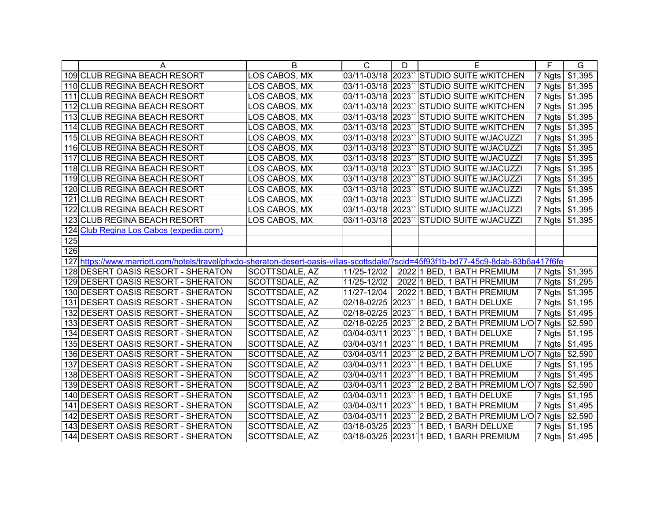|     | A                                                                                                                                   | B              | $\mathsf{C}$      | D      | Е                                         | F      | G                    |
|-----|-------------------------------------------------------------------------------------------------------------------------------------|----------------|-------------------|--------|-------------------------------------------|--------|----------------------|
|     | 109 CLUB REGINA BEACH RESORT                                                                                                        | LOS CABOS, MX  | 03/11-03/18 2023  |        | <b>STUDIO SUITE W/KITCHEN</b>             | 7 Ngts | \$1,395              |
|     | 110 CLUB REGINA BEACH RESORT                                                                                                        | LOS CABOS, MX  | 03/11-03/18 2023  |        | <b>STUDIO SUITE W/KITCHEN</b>             | 7 Ngts | \$1,395              |
|     | 111 CLUB REGINA BEACH RESORT                                                                                                        | LOS CABOS, MX  | 03/11-03/18 2023` |        | <b>STUDIO SUITE W/KITCHEN</b>             | 7 Ngts | $\overline{\$}1,395$ |
|     | 112 CLUB REGINA BEACH RESORT                                                                                                        | LOS CABOS, MX  | 03/11-03/18 2023  |        | <b>STUDIO SUITE W/KITCHEN</b>             | 7 Ngts | $\overline{\$}1,395$ |
|     | 113 CLUB REGINA BEACH RESORT                                                                                                        | LOS CABOS, MX  | 03/11-03/18 2023  |        | <b>STUDIO SUITE W/KITCHEN</b>             | 7 Ngts | $\overline{\$}1,395$ |
|     | 114 CLUB REGINA BEACH RESORT                                                                                                        | LOS CABOS, MX  | 03/11-03/18 2023  |        | <b>STUDIO SUITE W/KITCHEN</b>             | 7 Ngts | $\overline{\$}1,395$ |
|     | 115 CLUB REGINA BEACH RESORT                                                                                                        | LOS CABOS, MX  | 03/11-03/18 2023  |        | <b>STUDIO SUITE w/JACUZZI</b>             | 7 Ngts | $\overline{\$}1,395$ |
|     | 116 CLUB REGINA BEACH RESORT                                                                                                        | LOS CABOS, MX  | 03/11-03/18 2023  |        | STUDIO SUITE w/JACUZZI                    | 7 Ngts | $\overline{\$}1,395$ |
|     | 117 CLUB REGINA BEACH RESORT                                                                                                        | LOS CABOS, MX  | 03/11-03/18 2023  |        | <b>STUDIO SUITE w/JACUZZI</b>             | 7 Ngts | \$1,395              |
|     | 118 CLUB REGINA BEACH RESORT                                                                                                        | LOS CABOS, MX  | 03/11-03/18 2023  |        | STUDIO SUITE w/JACUZZI                    | 7 Ngts | \$1,395              |
|     | 119 CLUB REGINA BEACH RESORT                                                                                                        | LOS CABOS, MX  | 03/11-03/18 2023` |        | STUDIO SUITE w/JACUZZI                    | 7 Ngts | \$1,395              |
|     | 120 CLUB REGINA BEACH RESORT                                                                                                        | LOS CABOS, MX  | 03/11-03/18 2023` |        | STUDIO SUITE w/JACUZZI                    | 7 Ngts | \$1,395              |
|     | 121 CLUB REGINA BEACH RESORT                                                                                                        | LOS CABOS, MX  | 03/11-03/18 2023  |        | STUDIO SUITE w/JACUZZI                    | 7 Ngts | \$1,395              |
|     | 122 CLUB REGINA BEACH RESORT                                                                                                        | LOS CABOS, MX  | 03/11-03/18 2023` |        | STUDIO SUITE w/JACUZZI                    | 7 Ngts | \$1,395              |
|     | 123 CLUB REGINA BEACH RESORT                                                                                                        | LOS CABOS, MX  | 03/11-03/18 2023  |        | <b>STUDIO SUITE W/JACUZZI</b>             | 7 Ngts | \$1,395              |
|     | 124 Club Regina Los Cabos (expedia.com)                                                                                             |                |                   |        |                                           |        |                      |
| 125 |                                                                                                                                     |                |                   |        |                                           |        |                      |
| 126 |                                                                                                                                     |                |                   |        |                                           |        |                      |
|     | 127 https://www.marriott.com/hotels/travel/phxdo-sheraton-desert-oasis-villas-scottsdale/?scid=45f93f1b-bd77-45c9-8dab-83b6a417f6fe |                |                   |        |                                           |        |                      |
|     | 128 DESERT OASIS RESORT - SHERATON                                                                                                  | SCOTTSDALE, AZ | 11/25-12/02       |        | 2022 1 BED, 1 BATH PREMIUM                |        | 7 Ngts \$1,395       |
|     | 129 DESERT OASIS RESORT - SHERATON                                                                                                  | SCOTTSDALE, AZ | 11/25-12/02       |        | 2022 1 BED, 1 BATH PREMIUM                | 7 Ngts | \$1,295              |
|     | 130 DESERT OASIS RESORT - SHERATON                                                                                                  | SCOTTSDALE, AZ | 11/27-12/04       |        | 2022 1 BED, 1 BATH PREMIUM                | 7 Ngts | \$1,395              |
|     | 131 DESERT OASIS RESORT - SHERATON                                                                                                  | SCOTTSDALE, AZ |                   |        | 02/18-02/25 2023" 1 BED, 1 BATH DELUXE    | 7 Ngts | \$1,195              |
|     | 132 DESERT OASIS RESORT - SHERATON                                                                                                  | SCOTTSDALE, AZ | 02/18-02/25       |        | 2023" 1 BED, 1 BATH PREMIUM               | 7 Ngts | \$1,495              |
|     | 133 DESERT OASIS RESORT - SHERATON                                                                                                  | SCOTTSDALE, AZ | 02/18-02/25       |        | 2023" 2 BED, 2 BATH PREMIUM L/O 7 Ngts    |        | \$2,590              |
|     | 134 DESERT OASIS RESORT - SHERATON                                                                                                  | SCOTTSDALE, AZ | 03/04-03/11       | 2023`` | 1 BED, 1 BATH DELUXE                      | 7 Ngts | \$1,195              |
|     | 135 DESERT OASIS RESORT - SHERATON                                                                                                  | SCOTTSDALE, AZ | 03/04-03/11       | 2023`` | 1 BED, 1 BATH PREMIUM                     | 7 Ngts | $\sqrt{$1,495}$      |
|     | 136 DESERT OASIS RESORT - SHERATON                                                                                                  | SCOTTSDALE, AZ | 03/04-03/11       | 2023`` | 2 BED, 2 BATH PREMIUM L/O 7 Ngts          |        | \$2,590              |
|     | 137 DESERT OASIS RESORT - SHERATON                                                                                                  | SCOTTSDALE, AZ | 03/04-03/11       | 2023`` | 1 BED, 1 BATH DELUXE                      | 7 Ngts | \$1,195              |
|     | 138 DESERT OASIS RESORT - SHERATON                                                                                                  | SCOTTSDALE, AZ | 03/04-03/11       | 2023   | 1 BED, 1 BATH PREMIUM                     | 7 Ngts | \$1,495              |
|     | 139 DESERT OASIS RESORT - SHERATON                                                                                                  | SCOTTSDALE, AZ | 03/04-03/11       | 2023   | 2 BED, 2 BATH PREMIUM L/O 7 Ngts          |        | \$2,590              |
|     | 140 DESERT OASIS RESORT - SHERATON                                                                                                  | SCOTTSDALE, AZ | 03/04-03/11       | 2023   | 1 BED, 1 BATH DELUXE                      | 7 Ngts | \$1,195              |
|     | 141 DESERT OASIS RESORT - SHERATON                                                                                                  | SCOTTSDALE, AZ | 03/04-03/11       | 2023   | 1 BED, 1 BATH PREMIUM                     | 7 Ngts | $\overline{\$1,495}$ |
|     | 142 DESERT OASIS RESORT - SHERATON                                                                                                  | SCOTTSDALE, AZ | 03/04-03/11       |        | $2023$ " 2 BED, 2 BATH PREMIUM L/O 7 Ngts |        | \$2,590              |
|     | 143 DESERT OASIS RESORT - SHERATON                                                                                                  | SCOTTSDALE, AZ | 03/18-03/25       | 2023   | 1 BED, 1 BARH DELUXE                      | 7 Ngts | \$1,195              |
|     | 144 DESERT OASIS RESORT - SHERATON                                                                                                  | SCOTTSDALE, AZ |                   |        | 03/18-03/25 20231 1 BED, 1 BARH PREMIUM   |        | 7 Ngts \$1,495       |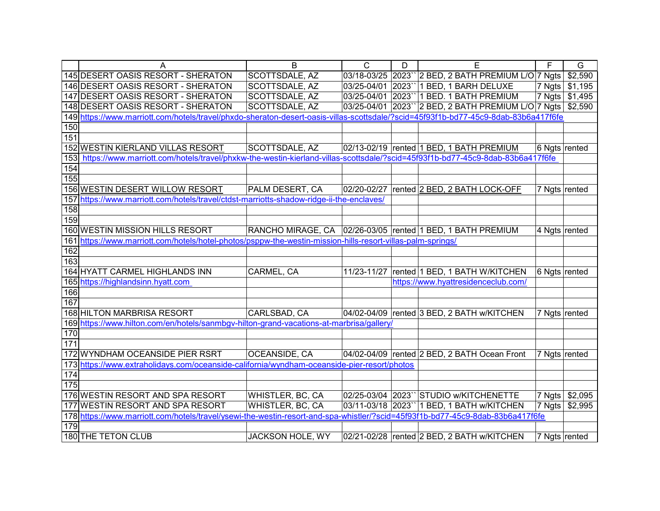|            | Α                                                                                                                                   | B                     | $\mathsf{C}$ | D | Е                                                              | F             | G               |
|------------|-------------------------------------------------------------------------------------------------------------------------------------|-----------------------|--------------|---|----------------------------------------------------------------|---------------|-----------------|
|            | 145 DESERT OASIS RESORT - SHERATON                                                                                                  | SCOTTSDALE, AZ        |              |   | 03/18-03/25 2023" 2 BED, 2 BATH PREMIUM L/O 7 Ngts             |               | \$2,590         |
|            | 146 DESERT OASIS RESORT - SHERATON                                                                                                  | <b>SCOTTSDALE, AZ</b> |              |   | 03/25-04/01 2023" 1 BED, 1 BARH DELUXE                         | 7 Ngts        | \$1,195         |
|            | 147 DESERT OASIS RESORT - SHERATON                                                                                                  | SCOTTSDALE, AZ        |              |   | 03/25-04/01 2023" 1 BED. 1 BATH PREMIUM                        | 7 Ngts        | $\sqrt{$1,495}$ |
|            | 148 DESERT OASIS RESORT - SHERATON                                                                                                  | SCOTTSDALE, AZ        |              |   | 03/25-04/01 2023`` 2 BED, 2 BATH PREMIUM L/O 7 Ngts \$2,590    |               |                 |
|            | 149 https://www.marriott.com/hotels/travel/phxdo-sheraton-desert-oasis-villas-scottsdale/?scid=45f93f1b-bd77-45c9-8dab-83b6a417f6fe |                       |              |   |                                                                |               |                 |
| 150        |                                                                                                                                     |                       |              |   |                                                                |               |                 |
| 151        |                                                                                                                                     |                       |              |   |                                                                |               |                 |
|            | 152 WESTIN KIERLAND VILLAS RESORT                                                                                                   | SCOTTSDALE, AZ        |              |   | 02/13-02/19  rented 1 BED, 1 BATH PREMIUM                      | 6 Ngts rented |                 |
| 153        | https://www.marriott.com/hotels/travel/phxkw-the-westin-kierland-villas-scottsdale/?scid=45f93f1b-bd77-45c9-8dab-83b6a417f6fe       |                       |              |   |                                                                |               |                 |
| 154        |                                                                                                                                     |                       |              |   |                                                                |               |                 |
| 155        |                                                                                                                                     |                       |              |   |                                                                |               |                 |
|            | 156 WESTIN DESERT WILLOW RESORT                                                                                                     | PALM DESERT, CA       | 02/20-02/27  |   | rented 2 BED, 2 BATH LOCK-OFF                                  | 7 Ngts rented |                 |
|            | 157 https://www.marriott.com/hotels/travel/ctdst-marriotts-shadow-ridge-ii-the-enclaves/                                            |                       |              |   |                                                                |               |                 |
| 158        |                                                                                                                                     |                       |              |   |                                                                |               |                 |
| 159        |                                                                                                                                     |                       |              |   |                                                                |               |                 |
|            | 160 WESTIN MISSION HILLS RESORT                                                                                                     |                       |              |   | RANCHO MIRAGE, CA   02/26-03/05   rented 1 BED, 1 BATH PREMIUM | 4 Ngts rented |                 |
|            | 161 https://www.marriott.com/hotels/hotel-photos/psppw-the-westin-mission-hills-resort-villas-palm-springs/                         |                       |              |   |                                                                |               |                 |
| 162        |                                                                                                                                     |                       |              |   |                                                                |               |                 |
| 163        |                                                                                                                                     |                       |              |   |                                                                |               |                 |
|            | 164 HYATT CARMEL HIGHLANDS INN                                                                                                      | CARMEL, CA            | 11/23-11/27  |   | rented 1 BED, 1 BATH W/KITCHEN                                 | 6 Ngts rented |                 |
|            | 165 https://highlandsinn.hyatt.com                                                                                                  |                       |              |   | https://www.hyattresidenceclub.com/                            |               |                 |
| 166        |                                                                                                                                     |                       |              |   |                                                                |               |                 |
| 167        |                                                                                                                                     |                       |              |   |                                                                |               |                 |
|            | 168 HILTON MARBRISA RESORT                                                                                                          | CARLSBAD, CA          |              |   | 04/02-04/09 rented 3 BED, 2 BATH w/KITCHEN                     | 7 Ngts rented |                 |
|            | 169 https://www.hilton.com/en/hotels/sanmbgv-hilton-grand-vacations-at-marbrisa/gallery/                                            |                       |              |   |                                                                |               |                 |
| 170<br>171 |                                                                                                                                     |                       |              |   |                                                                |               |                 |
|            |                                                                                                                                     |                       |              |   |                                                                |               |                 |
|            | 172 WYNDHAM OCEANSIDE PIER RSRT                                                                                                     | <b>OCEANSIDE, CA</b>  |              |   | 04/02-04/09 rented 2 BED, 2 BATH Ocean Front                   | 7 Ngts rented |                 |
| 174        | 173 https://www.extraholidays.com/oceanside-california/wyndham-oceanside-pier-resort/photos                                         |                       |              |   |                                                                |               |                 |
| 175        |                                                                                                                                     |                       |              |   |                                                                |               |                 |
|            | 176 WESTIN RESORT AND SPA RESORT                                                                                                    | WHISTLER, BC, CA      |              |   | 02/25-03/04 2023" STUDIO w/KITCHENETTE                         | 7 Ngts        | \$2,095         |
|            | 177 WESTIN RESORT AND SPA RESORT                                                                                                    | WHISTLER, BC, CA      |              |   | 03/11-03/18 2023" 1 BED, 1 BATH w/KITCHEN                      | 7 Ngts        | \$2,995         |
|            | 178 https://www.marriott.com/hotels/travel/ysewi-the-westin-resort-and-spa-whistler/?scid=45f93f1b-bd77-45c9-8dab-83b6a417f6fe      |                       |              |   |                                                                |               |                 |
| 179        |                                                                                                                                     |                       |              |   |                                                                |               |                 |
|            | 180 THE TETON CLUB                                                                                                                  | JACKSON HOLE, WY      |              |   | 02/21-02/28  rented 2 BED, 2 BATH w/KITCHEN                    | 7 Ngts rented |                 |
|            |                                                                                                                                     |                       |              |   |                                                                |               |                 |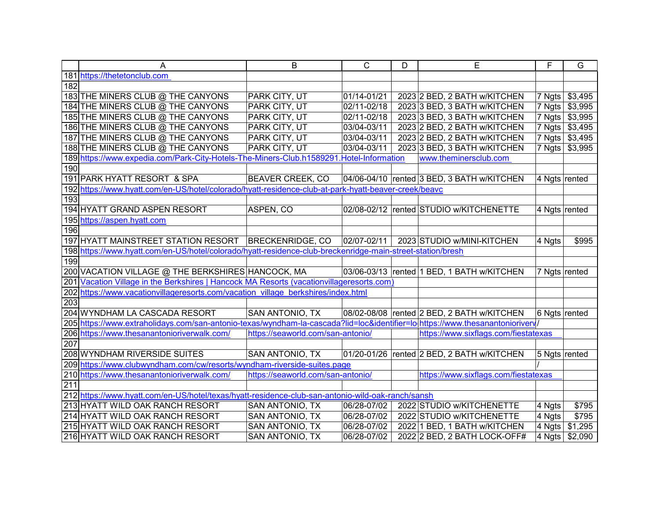|                  | A                                                                                                                             | B                                 | $\mathsf{C}$ | D | E                                          | F             | G              |
|------------------|-------------------------------------------------------------------------------------------------------------------------------|-----------------------------------|--------------|---|--------------------------------------------|---------------|----------------|
|                  | 181 https://thetetonclub.com                                                                                                  |                                   |              |   |                                            |               |                |
| 182              |                                                                                                                               |                                   |              |   |                                            |               |                |
|                  | 183 THE MINERS CLUB @ THE CANYONS                                                                                             | PARK CITY, UT                     | 01/14-01/21  |   | 2023 2 BED, 2 BATH w/KITCHEN               | 7 Ngts        | \$3,495        |
|                  | 184 THE MINERS CLUB @ THE CANYONS                                                                                             | PARK CITY, UT                     | 02/11-02/18  |   | 2023 3 BED, 3 BATH w/KITCHEN               | 7 Ngts        | \$3,995        |
|                  | 185 THE MINERS CLUB @ THE CANYONS                                                                                             | PARK CITY, UT                     | 02/11-02/18  |   | 2023 3 BED, 3 BATH w/KITCHEN               | 7 Ngts        | \$3,995        |
|                  | 186 THE MINERS CLUB @ THE CANYONS                                                                                             | PARK CITY, UT                     | 03/04-03/11  |   | 2023 2 BED, 2 BATH w/KITCHEN               |               | 7 Ngts \$3,495 |
|                  | 187 THE MINERS CLUB @ THE CANYONS                                                                                             | PARK CITY, UT                     | 03/04-03/11  |   | 2023 2 BED, 2 BATH w/KITCHEN               |               | 7 Ngts \$3,495 |
|                  | 188 THE MINERS CLUB @ THE CANYONS                                                                                             | PARK CITY, UT                     | 03/04-03/11  |   | 2023 3 BED, 3 BATH w/KITCHEN               | 7 Ngts        | \$3,995        |
|                  | 189 https://www.expedia.com/Park-City-Hotels-The-Miners-Club.h1589291.Hotel-Information                                       |                                   |              |   | www.theminersclub.com                      |               |                |
| 190              |                                                                                                                               |                                   |              |   |                                            |               |                |
|                  | 191 PARK HYATT RESORT & SPA                                                                                                   | <b>BEAVER CREEK, CO</b>           |              |   | 04/06-04/10 rented 3 BED, 3 BATH w/KITCHEN | 4 Ngts rented |                |
|                  | 192 https://www.hyatt.com/en-US/hotel/colorado/hyatt-residence-club-at-park-hyatt-beaver-creek/beavc                          |                                   |              |   |                                            |               |                |
| 193              |                                                                                                                               |                                   |              |   |                                            |               |                |
|                  | 194 HYATT GRAND ASPEN RESORT                                                                                                  | ASPEN, CO                         |              |   | 02/08-02/12 rented STUDIO w/KITCHENETTE    | 4 Ngts rented |                |
|                  | 195 https://aspen.hyatt.com                                                                                                   |                                   |              |   |                                            |               |                |
| 196              |                                                                                                                               |                                   |              |   |                                            |               |                |
|                  | 197 HYATT MAINSTREET STATION RESORT BRECKENRIDGE, CO                                                                          |                                   | 02/07-02/11  |   | 2023 STUDIO w/MINI-KITCHEN                 | 4 Ngts        | \$995          |
|                  | 198 https://www.hyatt.com/en-US/hotel/colorado/hyatt-residence-club-breckenridge-main-street-station/bresh                    |                                   |              |   |                                            |               |                |
| 199              |                                                                                                                               |                                   |              |   |                                            |               |                |
|                  | 200 VACATION VILLAGE @ THE BERKSHIRES HANCOCK, MA                                                                             |                                   |              |   | 03/06-03/13 rented 1 BED, 1 BATH w/KITCHEN | 7 Ngts rented |                |
|                  | 201 Vacation Village in the Berkshires   Hancock MA Resorts (vacationvillageresorts.com)                                      |                                   |              |   |                                            |               |                |
|                  | 202 https://www.vacationvillageresorts.com/vacation_village_berkshires/index.html                                             |                                   |              |   |                                            |               |                |
| $\overline{203}$ |                                                                                                                               |                                   |              |   |                                            |               |                |
|                  | 204 WYNDHAM LA CASCADA RESORT                                                                                                 | <b>SAN ANTONIO, TX</b>            |              |   | 08/02-08/08 rented 2 BED, 2 BATH w/KITCHEN | 6 Ngts rented |                |
|                  | 205 https://www.extraholidays.com/san-antonio-texas/wyndham-la-cascada?lid=loc&identifier=lo https://www.thesanantoniorivery/ |                                   |              |   |                                            |               |                |
|                  | 206 https://www.thesanantonioriverwalk.com/                                                                                   | https://seaworld.com/san-antonio/ |              |   | https://www.sixflags.com/fiestatexas       |               |                |
| 207              |                                                                                                                               |                                   |              |   |                                            |               |                |
|                  | 208 WYNDHAM RIVERSIDE SUITES                                                                                                  | SAN ANTONIO, TX                   |              |   | 01/20-01/26 rented 2 BED, 2 BATH w/KITCHEN | 5 Ngts rented |                |
|                  | 209 https://www.clubwyndham.com/cw/resorts/wyndham-riverside-suites.page                                                      |                                   |              |   |                                            |               |                |
|                  | 210 https://www.thesanantonioriverwalk.com/                                                                                   | https://seaworld.com/san-antonio/ |              |   | https://www.sixflags.com/fiestatexas       |               |                |
| 211              |                                                                                                                               |                                   |              |   |                                            |               |                |
|                  | 212 https://www.hyatt.com/en-US/hotel/texas/hyatt-residence-club-san-antonio-wild-oak-ranch/sansh                             |                                   |              |   |                                            |               |                |
|                  | 213 HYATT WILD OAK RANCH RESORT                                                                                               | SAN ANTONIO, TX                   | 06/28-07/02  |   | 2022 STUDIO W/KITCHENETTE                  | 4 Ngts        | \$795          |
|                  | 214 HYATT WILD OAK RANCH RESORT                                                                                               | <b>SAN ANTONIO, TX</b>            | 06/28-07/02  |   | 2022 STUDIO w/KITCHENETTE                  | 4 Ngts        | \$795          |
|                  | 215 HYATT WILD OAK RANCH RESORT                                                                                               | <b>SAN ANTONIO, TX</b>            | 06/28-07/02  |   | 2022 1 BED, 1 BATH w/KITCHEN               | 4 Ngts        | \$1,295        |
|                  | 216 HYATT WILD OAK RANCH RESORT                                                                                               | SAN ANTONIO, TX                   | 06/28-07/02  |   | 2022 2 BED, 2 BATH LOCK-OFF#               |               | 4 Ngts \$2,090 |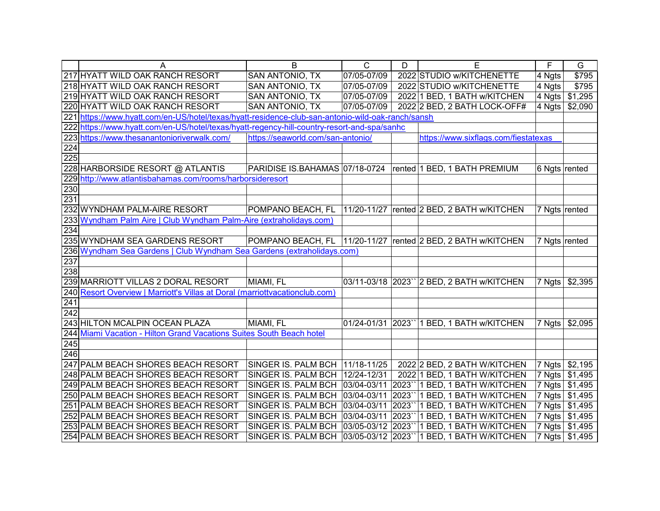|     | A                                                                                                 | B                                 | $\overline{C}$ | D      | E                                                                   | F             | G              |
|-----|---------------------------------------------------------------------------------------------------|-----------------------------------|----------------|--------|---------------------------------------------------------------------|---------------|----------------|
|     | 217 HYATT WILD OAK RANCH RESORT                                                                   | SAN ANTONIO, TX                   | 07/05-07/09    |        | 2022 STUDIO w/KITCHENETTE                                           | 4 Ngts        | \$795          |
|     | 218 HYATT WILD OAK RANCH RESORT                                                                   | SAN ANTONIO, TX                   | 07/05-07/09    |        | 2022 STUDIO w/KITCHENETTE                                           | 4 Ngts        | \$795          |
|     | 219 HYATT WILD OAK RANCH RESORT                                                                   | SAN ANTONIO, TX                   | 07/05-07/09    |        | 2022 1 BED, 1 BATH w/KITCHEN                                        |               | 4 Ngts \$1,295 |
|     | 220 HYATT WILD OAK RANCH RESORT                                                                   | SAN ANTONIO, TX                   | 07/05-07/09    |        | 2022 2 BED, 2 BATH LOCK-OFF#                                        | 4 Ngts        | \$2,090        |
|     | 221 https://www.hyatt.com/en-US/hotel/texas/hyatt-residence-club-san-antonio-wild-oak-ranch/sansh |                                   |                |        |                                                                     |               |                |
|     | 222 https://www.hyatt.com/en-US/hotel/texas/hyatt-regency-hill-country-resort-and-spa/sanhc       |                                   |                |        |                                                                     |               |                |
|     | 223 https://www.thesanantonioriverwalk.com/                                                       | https://seaworld.com/san-antonio/ |                |        | https://www.sixflags.com/fiestatexas                                |               |                |
| 224 |                                                                                                   |                                   |                |        |                                                                     |               |                |
| 225 |                                                                                                   |                                   |                |        |                                                                     |               |                |
|     | 228 HARBORSIDE RESORT @ ATLANTIS                                                                  | PARIDISE IS.BAHAMAS 07/18-0724    |                |        | rented 1 BED, 1 BATH PREMIUM                                        | 6 Ngts rented |                |
|     | 229 http://www.atlantisbahamas.com/rooms/harborsideresort                                         |                                   |                |        |                                                                     |               |                |
| 230 |                                                                                                   |                                   |                |        |                                                                     |               |                |
| 231 |                                                                                                   |                                   |                |        |                                                                     |               |                |
|     | 232 WYNDHAM PALM-AIRE RESORT                                                                      | POMPANO BEACH, FL                 | 11/20-11/27    |        | rented 2 BED, 2 BATH w/KITCHEN                                      |               | 7 Ngts rented  |
|     | 233 Wyndham Palm Aire   Club Wyndham Palm-Aire (extraholidays.com)                                |                                   |                |        |                                                                     |               |                |
| 234 |                                                                                                   |                                   |                |        |                                                                     |               |                |
|     | 235 WYNDHAM SEA GARDENS RESORT                                                                    | POMPANO BEACH, FL   11/20-11/27   |                |        | rented 2 BED, 2 BATH w/KITCHEN                                      |               | 7 Ngts rented  |
|     | 236 Wyndham Sea Gardens   Club Wyndham Sea Gardens (extraholidays.com)                            |                                   |                |        |                                                                     |               |                |
| 237 |                                                                                                   |                                   |                |        |                                                                     |               |                |
| 238 |                                                                                                   |                                   |                |        |                                                                     |               |                |
|     | 239 MARRIOTT VILLAS 2 DORAL RESORT                                                                | MIAMI, FL                         |                |        | 03/11-03/18 2023" 2 BED, 2 BATH w/KITCHEN                           | 7 Ngts        | \$2,395        |
|     | 240 Resort Overview   Marriott's Villas at Doral (marriottvacationclub.com)                       |                                   |                |        |                                                                     |               |                |
| 241 |                                                                                                   |                                   |                |        |                                                                     |               |                |
| 242 |                                                                                                   |                                   |                |        |                                                                     |               |                |
|     | 243 HILTON MCALPIN OCEAN PLAZA                                                                    | MIAMI, FL                         | 01/24-01/31    | 2023`` | 1 BED, 1 BATH w/KITCHEN                                             | 7 Ngts        | \$2,095        |
|     | 244 Miami Vacation - Hilton Grand Vacations Suites South Beach hotel                              |                                   |                |        |                                                                     |               |                |
| 245 |                                                                                                   |                                   |                |        |                                                                     |               |                |
| 246 |                                                                                                   |                                   |                |        |                                                                     |               |                |
|     | 247 PALM BEACH SHORES BEACH RESORT                                                                | SINGER IS. PALM BCH   11/18-11/25 |                |        | 2022 2 BED, 2 BATH W/KITCHEN                                        | 7 Ngts        | \$2,195        |
|     | 248 PALM BEACH SHORES BEACH RESORT                                                                | SINGER IS. PALM BCH   12/24-12/31 |                |        | 2022 1 BED, 1 BATH W/KITCHEN                                        |               | 7 Ngts \$1,495 |
|     | 249 PALM BEACH SHORES BEACH RESORT                                                                | SINGER IS. PALM BCH   03/04-03/11 |                |        | 2023" 1 BED, 1 BATH W/KITCHEN                                       |               | 7 Ngts \$1,495 |
|     | 250 PALM BEACH SHORES BEACH RESORT                                                                | SINGER IS. PALM BCH   03/04-03/11 |                |        | 2023" 1 BED, 1 BATH W/KITCHEN                                       |               | 7 Ngts \$1,495 |
|     | 251 PALM BEACH SHORES BEACH RESORT                                                                | SINGER IS. PALM BCH   03/04-03/11 |                |        | 2023" 1 BED, 1 BATH W/KITCHEN                                       |               | 7 Ngts \$1,495 |
|     | 252 PALM BEACH SHORES BEACH RESORT                                                                | SINGER IS. PALM BCH   03/04-03/11 |                |        | 2023" 1 BED, 1 BATH W/KITCHEN                                       |               | 7 Ngts \$1,495 |
|     | 253 PALM BEACH SHORES BEACH RESORT                                                                |                                   |                |        | SINGER IS. PALM BCH 03/05-03/12 2023" 1 BED, 1 BATH W/KITCHEN       |               | 7 Ngts \$1,495 |
|     | 254 PALM BEACH SHORES BEACH RESORT                                                                |                                   |                |        | SINGER IS. PALM BCH   03/05-03/12   2023"   1 BED, 1 BATH W/KITCHEN |               | 7 Ngts \$1,495 |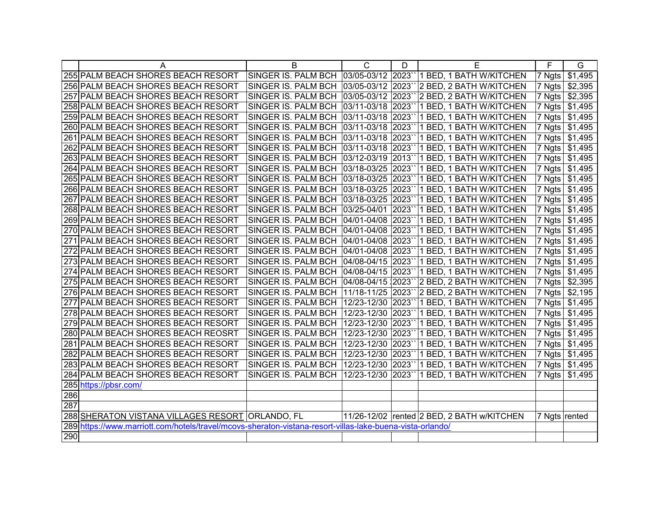|     | A                                                                                                         | B                                       | $\mathsf{C}$       | D    | Е                                                             | F                  | G       |
|-----|-----------------------------------------------------------------------------------------------------------|-----------------------------------------|--------------------|------|---------------------------------------------------------------|--------------------|---------|
|     | 255 PALM BEACH SHORES BEACH RESORT                                                                        |                                         |                    |      | SINGER IS. PALM BCH 03/05-03/12 2023" 1 BED, 1 BATH W/KITCHEN | 7 Ngts             | \$1,495 |
|     | 256 PALM BEACH SHORES BEACH RESORT                                                                        |                                         |                    |      | SINGER IS. PALM BCH 03/05-03/12 2023" 2 BED, 2 BATH W/KITCHEN | $ 7 \text{ Ngts} $ | \$2,395 |
|     | 257 PALM BEACH SHORES BEACH RESORT                                                                        | SINGER IS. PALM BCH                     | 03/05-03/12 2023`` |      | 2 BED, 2 BATH W/KITCHEN                                       | 7 Ngts             | \$2,395 |
|     | 258 PALM BEACH SHORES BEACH RESORT                                                                        | SINGER IS. PALM BCH                     | 03/11-03/18 2023   |      | 1 BED, 1 BATH W/KITCHEN                                       | 7 Ngts             | \$1,495 |
|     | 259 PALM BEACH SHORES BEACH RESORT                                                                        | SINGER IS. PALM BCH                     | 03/11-03/18 2023   |      | 1 BED, 1 BATH W/KITCHEN                                       | 7 Ngts             | \$1,495 |
|     | 260 PALM BEACH SHORES BEACH RESORT                                                                        | SINGER IS. PALM BCH                     | 03/11-03/18 2023   |      | 1 BED, 1 BATH W/KITCHEN                                       | 7 Ngts             | \$1,495 |
|     | 261 PALM BEACH SHORES BEACH RESORT                                                                        | SINGER IS. PALM BCH                     | 03/11-03/18 2023   |      | 1 BED, 1 BATH W/KITCHEN                                       | 7 Ngts             | \$1,495 |
|     | 262 PALM BEACH SHORES BEACH RESORT                                                                        | SINGER IS. PALM BCH                     | 03/11-03/18 2023   |      | 1 BED, 1 BATH W/KITCHEN                                       | 7 Ngts             | \$1,495 |
|     | 263 PALM BEACH SHORES BEACH RESORT                                                                        | SINGER IS. PALM BCH 03/12-03/19 2013`   |                    |      | 1 BED, 1 BATH W/KITCHEN                                       | 7 Ngts             | \$1,495 |
|     | 264 PALM BEACH SHORES BEACH RESORT                                                                        | SINGER IS. PALM BCH 03/18-03/25 2023`   |                    |      | 1 BED, 1 BATH W/KITCHEN                                       | $ 7 \text{ Ngts} $ | \$1,495 |
|     | 265 PALM BEACH SHORES BEACH RESORT                                                                        | SINGER IS. PALM BCH                     | 03/18-03/25 2023   |      | 1 BED, 1 BATH W/KITCHEN                                       | 7 Ngts             | \$1,495 |
|     | 266 PALM BEACH SHORES BEACH RESORT                                                                        | SINGER IS. PALM BCH 03/18-03/25 2023``  |                    |      | 1 BED, 1 BATH W/KITCHEN                                       | $ 7 \text{ Ngts} $ | \$1,495 |
|     | 267 PALM BEACH SHORES BEACH RESORT                                                                        | SINGER IS. PALM BCH 03/18-03/25 2023`   |                    |      | 1 BED, 1 BATH W/KITCHEN                                       | 7 Ngts             | \$1,495 |
|     | 268 PALM BEACH SHORES BEACH RESORT                                                                        | SINGER IS. PALM BCH 03/25-04/01 2023``  |                    |      | 1 BED, 1 BATH W/KITCHEN                                       | $ 7 \text{ Ngts} $ | \$1,495 |
|     | 269 PALM BEACH SHORES BEACH RESORT                                                                        | SINGER IS. PALM BCH 04/01-04/08 2023`   |                    |      | 1 BED, 1 BATH W/KITCHEN                                       | 7 Ngts             | \$1,495 |
|     | 270 PALM BEACH SHORES BEACH RESORT                                                                        | SINGER IS. PALM BCH                     | 04/01-04/08 2023   |      | 1 BED, 1 BATH W/KITCHEN                                       | 7 Ngts             | \$1,495 |
|     | 271 PALM BEACH SHORES BEACH RESORT                                                                        | SINGER IS. PALM BCH                     | 04/01-04/08 2023   |      | 1 BED, 1 BATH W/KITCHEN                                       | 7 Ngts             | \$1,495 |
|     | 272 PALM BEACH SHORES BEACH RESORT                                                                        | SINGER IS. PALM BCH 04/01-04/08 2023`   |                    |      | 1 BED, 1 BATH W/KITCHEN                                       | 7 Ngts             | \$1,495 |
|     | 273 PALM BEACH SHORES BEACH RESORT                                                                        | SINGER IS. PALM BCH 04/08-04/15 2023`   |                    |      | 1 BED, 1 BATH W/KITCHEN                                       | 7 Ngts             | \$1,495 |
|     | 274 PALM BEACH SHORES BEACH RESORT                                                                        | SINGER IS. PALM BCH                     | 04/08-04/15 2023`  |      | 1 BED, 1 BATH W/KITCHEN                                       | 7 Ngts             | \$1,495 |
|     | 275 PALM BEACH SHORES BEACH RESORT                                                                        | SINGER IS. PALM BCH  04/08-04/15  2023` |                    |      | 2 BED, 2 BATH W/KITCHEN                                       | 7 Ngts             | \$2,395 |
|     | 276 PALM BEACH SHORES BEACH RESORT                                                                        | SINGER IS. PALM BCH                     | 11/18-11/25 2023   |      | 2 BED, 2 BATH W/KITCHEN                                       | 7 Ngts             | \$2,195 |
|     | 277 PALM BEACH SHORES BEACH RESORT                                                                        | SINGER IS. PALM BCH                     | 12/23-12/30 2023`  |      | 1 BED, 1 BATH W/KITCHEN                                       | 7 Ngts             | \$1,495 |
|     | 278 PALM BEACH SHORES BEACH RESORT                                                                        | SINGER IS. PALM BCH                     | 12/23-12/30 2023`  |      | 1 BED, 1 BATH W/KITCHEN                                       | 7 Ngts             | \$1,495 |
|     | 279 PALM BEACH SHORES BEACH RESORT                                                                        | SINGER IS. PALM BCH                     | 12/23-12/30        | 2023 | 1 BED, 1 BATH W/KITCHEN                                       | 7 Ngts             | \$1,495 |
|     | 280 PALM BEACH SHORES BEACH REOSRT                                                                        | SINGER IS. PALM BCH                     | 12/23-12/30 2023   |      | 1 BED, 1 BATH W/KITCHEN                                       | 7 Ngts             | \$1,495 |
|     | 281 PALM BEACH SHORES BEACH RESORT                                                                        | SINGER IS. PALM BCH                     | 12/23-12/30 2023`  |      | 1 BED, 1 BATH W/KITCHEN                                       | 7 Ngts             | \$1,495 |
|     | 282 PALM BEACH SHORES BEACH RESORT                                                                        | SINGER IS. PALM BCH                     | 12/23-12/30 2023`  |      | 1 BED, 1 BATH W/KITCHEN                                       | 7 Ngts             | \$1,495 |
|     | 283 PALM BEACH SHORES BEACH RESORT                                                                        | SINGER IS. PALM BCH                     | 12/23-12/30 2023   |      | 1 BED, 1 BATH W/KITCHEN                                       | $ 7 \text{ N}$ gts | \$1,495 |
|     | 284 PALM BEACH SHORES BEACH RESORT                                                                        | SINGER IS. PALM BCH                     | 12/23-12/30 2023   |      | 1 BED, 1 BATH W/KITCHEN                                       | 7 Ngts             | \$1,495 |
|     | 285 https://pbsr.com/                                                                                     |                                         |                    |      |                                                               |                    |         |
| 286 |                                                                                                           |                                         |                    |      |                                                               |                    |         |
| 287 |                                                                                                           |                                         |                    |      |                                                               |                    |         |
|     | 288 SHERATON VISTANA VILLAGES RESORT ORLANDO, FL                                                          |                                         |                    |      | 11/26-12/02 rented 2 BED, 2 BATH w/KITCHEN                    | 7 Ngts rented      |         |
|     | 289 https://www.marriott.com/hotels/travel/mcovs-sheraton-vistana-resort-villas-lake-buena-vista-orlando/ |                                         |                    |      |                                                               |                    |         |
| 290 |                                                                                                           |                                         |                    |      |                                                               |                    |         |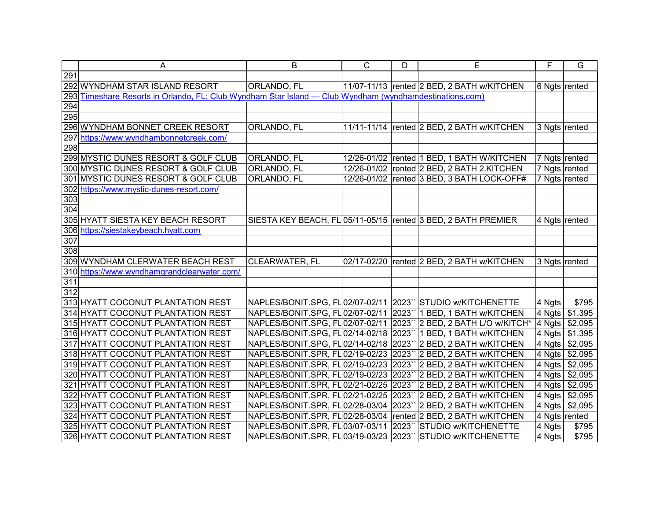|     | A                                                                                                   | B                                      | $\mathsf{C}$ | D              | E                                                               | F             | G               |
|-----|-----------------------------------------------------------------------------------------------------|----------------------------------------|--------------|----------------|-----------------------------------------------------------------|---------------|-----------------|
| 291 |                                                                                                     |                                        |              |                |                                                                 |               |                 |
|     | 292 WYNDHAM STAR ISLAND RESORT                                                                      | <b>ORLANDO, FL</b>                     |              |                | 11/07-11/13 rented 2 BED, 2 BATH w/KITCHEN                      | 6 Ngts rented |                 |
| 293 | Timeshare Resorts in Orlando, FL: Club Wyndham Star Island - Club Wyndham (wyndhamdestinations.com) |                                        |              |                |                                                                 |               |                 |
| 294 |                                                                                                     |                                        |              |                |                                                                 |               |                 |
| 295 |                                                                                                     |                                        |              |                |                                                                 |               |                 |
|     | 296 WYNDHAM BONNET CREEK RESORT                                                                     | ORLANDO, FL                            |              |                | 11/11-11/14   rented 2 BED, 2 BATH w/KITCHEN                    | 3 Ngts rented |                 |
|     | 297 https://www.wyndhambonnetcreek.com/                                                             |                                        |              |                |                                                                 |               |                 |
| 298 |                                                                                                     |                                        |              |                |                                                                 |               |                 |
|     | 299 MYSTIC DUNES RESORT & GOLF CLUB                                                                 | ORLANDO, FL                            |              |                | 12/26-01/02 rented 1 BED, 1 BATH W/KITCHEN                      | 7 Ngts rented |                 |
|     | 300 MYSTIC DUNES RESORT & GOLF CLUB                                                                 | <b>ORLANDO, FL</b>                     |              |                | 12/26-01/02   rented 2 BED, 2 BATH 2.KITCHEN                    |               | 7 Ngts rented   |
|     | 301 MYSTIC DUNES RESORT & GOLF CLUB                                                                 | ORLANDO, FL                            |              |                | 12/26-01/02 rented 3 BED, 3 BATH LOCK-OFF#                      | 7 Ngts rented |                 |
|     | 302 https://www.mystic-dunes-resort.com/                                                            |                                        |              |                |                                                                 |               |                 |
| 303 |                                                                                                     |                                        |              |                |                                                                 |               |                 |
| 304 |                                                                                                     |                                        |              |                |                                                                 |               |                 |
|     | 305 HYATT SIESTA KEY BEACH RESORT                                                                   |                                        |              |                | SIESTA KEY BEACH, FL 05/11-05/15   rented 3 BED, 2 BATH PREMIER | 4 Ngts rented |                 |
|     | 306 https://siestakeybeach.hyatt.com                                                                |                                        |              |                |                                                                 |               |                 |
| 307 |                                                                                                     |                                        |              |                |                                                                 |               |                 |
| 308 |                                                                                                     |                                        |              |                |                                                                 |               |                 |
|     | 309 WYNDHAM CLERWATER BEACH REST                                                                    | CLEARWATER, FL                         | 02/17-02/20  |                | rented 2 BED, 2 BATH w/KITCHEN                                  | 3 Ngts rented |                 |
|     | 310 https://www.wyndhamgrandclearwater.com/                                                         |                                        |              |                |                                                                 |               |                 |
| 311 |                                                                                                     |                                        |              |                |                                                                 |               |                 |
| 312 |                                                                                                     |                                        |              |                |                                                                 |               |                 |
|     | 313 HYATT COCONUT PLANTATION REST                                                                   | NAPLES/BONIT.SPG, FL02/07-02/11 2023`` |              |                | STUDIO w/KITCHENETTE                                            | 4 Ngts        | \$795           |
|     | 314 HYATT COCONUT PLANTATION REST                                                                   | NAPLES/BONIT.SPG, FL02/07-02/11        |              | 2023           | 1 BED, 1 BATH w/KITCHEN                                         | 4 Ngts        | \$1,395         |
|     | 315 HYATT COCONUT PLANTATION REST                                                                   | NAPLES/BONIT.SPG, FL 02/07-02/11       |              |                | 2023" 2 BED, 2 BATH L/O w/KITCH*                                | 4 Ngts        | \$2,095         |
|     | 316 HYATT COCONUT PLANTATION REST                                                                   | NAPLES/BONIT.SPG, FL 02/14-02/18       |              | 2023           | 1 BED, 1 BATH w/KITCHEN                                         | 4 Ngts        | \$1,395         |
|     | 317 HYATT COCONUT PLANTATION REST                                                                   | NAPLES/BONIT.SPG, FL02/14-02/18        |              | $ 2023\rangle$ | 2 BED, 2 BATH w/KITCHEN                                         | 4 Ngts        | $\sqrt{$2,095}$ |
|     | 318 HYATT COCONUT PLANTATION REST                                                                   | NAPLES/BONIT.SPR, FL02/19-02/23        |              | 2023           | 2 BED, 2 BATH w/KITCHEN                                         | 4 Ngts        | \$2,095         |
|     | 319 HYATT COCONUT PLANTATION REST                                                                   | NAPLES/BONIT.SPR, FL02/19-02/23        |              | 2023           | 2 BED, 2 BATH w/KITCHEN                                         | 4 Ngts        | \$2,095         |
|     | 320 HYATT COCONUT PLANTATION REST                                                                   | NAPLES/BONIT.SPR, FL 02/19-02/23       |              | 2023           | 2 BED, 2 BATH w/KITCHEN                                         | 4 Ngts        | \$2,095         |
|     | 321 HYATT COCONUT PLANTATION REST                                                                   | NAPLES/BONIT.SPR, FL 02/21-02/25       |              | 2023           | 2 BED, 2 BATH w/KITCHEN                                         | 4 Ngts        | \$2,095         |
|     | 322 HYATT COCONUT PLANTATION REST                                                                   | NAPLES/BONIT.SPR, FL 02/21-02/25       |              | 2023           | 2 BED, 2 BATH w/KITCHEN                                         | 4 Ngts        | \$2,095         |
|     | 323 HYATT COCONUT PLANTATION REST                                                                   | NAPLES/BONIT.SPR, FL 02/28-03/04       |              | 2023           | 2 BED, 2 BATH w/KITCHEN                                         | 4 Ngts        | $\sqrt{$2,095}$ |
|     | 324 HYATT COCONUT PLANTATION REST                                                                   | NAPLES/BONIT.SPR, FL 02/28-03/04       |              |                | rented 2 BED, 2 BATH w/KITCHEN                                  |               | 4 Ngts rented   |
|     | 325 HYATT COCONUT PLANTATION REST                                                                   | NAPLES/BONIT.SPR, FL 03/07-03/11       |              | 2023           | STUDIO w/KITCHENETTE                                            | 4 Ngts        | \$795           |
|     | 326 HYATT COCONUT PLANTATION REST                                                                   | NAPLES/BONIT.SPR, FL 03/19-03/23       |              | 2023           | STUDIO w/KITCHENETTE                                            | 4 Ngts        | \$795           |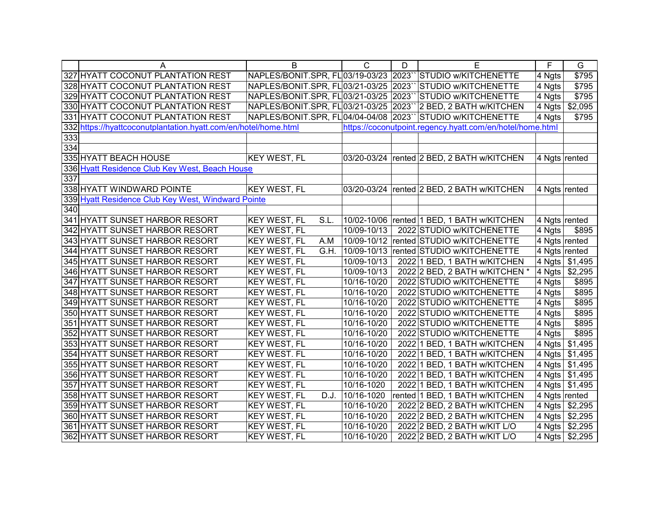|                 | A                                                               | B                                      | C           | D    | E                                                         | F             | G                    |
|-----------------|-----------------------------------------------------------------|----------------------------------------|-------------|------|-----------------------------------------------------------|---------------|----------------------|
|                 | 327 HYATT COCONUT PLANTATION REST                               | NAPLES/BONIT.SPR, FL 03/19-03/23 2023` |             |      | STUDIO w/KITCHENETTE                                      | 4 Ngts        | \$795                |
|                 | 328 HYATT COCONUT PLANTATION REST                               | NAPLES/BONIT.SPR, FL 03/21-03/25       |             | 2023 | STUDIO w/KITCHENETTE                                      | 4 Ngts        | \$795                |
|                 | 329 HYATT COCONUT PLANTATION REST                               | NAPLES/BONIT.SPR, FL 03/21-03/25       |             | 2023 | <b>STUDIO w/KITCHENETTE</b>                               | 4 Ngts        | \$795                |
|                 | 330 HYATT COCONUT PLANTATION REST                               | NAPLES/BONIT.SPR, FL 03/21-03/25       |             | 2023 | 2 BED, 2 BATH w/KITCHEN                                   | 4 Ngts        | $\sqrt{$2,095}$      |
|                 | 331 HYATT COCONUT PLANTATION REST                               | NAPLES/BONIT.SPR, FL04/04-04/08 2023`  |             |      | STUDIO w/KITCHENETTE                                      | 4 Ngts        | \$795                |
|                 | 332 https://hyattcoconutplantation.hyatt.com/en/hotel/home.html |                                        |             |      | https://coconutpoint.regency.hyatt.com/en/hotel/home.html |               |                      |
| 333             |                                                                 |                                        |             |      |                                                           |               |                      |
| $\frac{1}{334}$ |                                                                 |                                        |             |      |                                                           |               |                      |
|                 | 335 HYATT BEACH HOUSE                                           | <b>KEY WEST, FL</b>                    |             |      | 03/20-03/24   rented 2 BED, 2 BATH w/KITCHEN              | 4 Ngts rented |                      |
|                 | 336 Hyatt Residence Club Key West, Beach House                  |                                        |             |      |                                                           |               |                      |
| 337             |                                                                 |                                        |             |      |                                                           |               |                      |
|                 | 338 HYATT WINDWARD POINTE                                       | <b>KEY WEST, FL</b>                    |             |      | 03/20-03/24   rented 2 BED, 2 BATH w/KITCHEN              | 4 Ngts rented |                      |
|                 | 339 Hyatt Residence Club Key West, Windward Pointe              |                                        |             |      |                                                           |               |                      |
| 340             |                                                                 |                                        |             |      |                                                           |               |                      |
|                 | 341 HYATT SUNSET HARBOR RESORT                                  | S.L.<br><b>KEY WEST, FL</b>            | 10/02-10/06 |      | rented 1 BED, 1 BATH w/KITCHEN                            | 4 Ngts rented |                      |
|                 | 342 HYATT SUNSET HARBOR RESORT                                  | <b>KEY WEST, FL</b>                    | 10/09-10/13 |      | 2022 STUDIO w/KITCHENETTE                                 | 4 Ngts        | \$895                |
|                 | 343 HYATT SUNSET HARBOR RESORT                                  | A.M<br><b>KEY WEST, FL</b>             | 10/09-10/12 |      | rented STUDIO w/KITCHENETTE                               | 4 Ngts rented |                      |
|                 | 344 HYATT SUNSET HARBOR RESORT                                  | G.H.<br><b>KEY WEST, FL</b>            | 10/09-10/13 |      | rented STUDIO w/KITCHENETTE                               | 4 Ngts rented |                      |
|                 | 345 HYATT SUNSET HARBOR RESORT                                  | <b>KEY WEST, FL</b>                    | 10/09-10/13 |      | 2022 1 BED, 1 BATH w/KITCHEN                              | 4 Ngts        | \$1,495              |
|                 | 346 HYATT SUNSET HARBOR RESORT                                  | <b>KEY WEST, FL</b>                    | 10/09-10/13 |      | 2022 2 BED, 2 BATH w/KITCHEN *                            | 4 Ngts        | \$2,295              |
|                 | 347 HYATT SUNSET HARBOR RESORT                                  | <b>KEY WEST, FL</b>                    | 10/16-10/20 |      | 2022 STUDIO w/KITCHENETTE                                 | 4 Ngts        | \$895                |
|                 | 348 HYATT SUNSET HARBOR RESORT                                  | <b>KEY WEST, FL</b>                    | 10/16-10/20 |      | 2022 STUDIO w/KITCHENETTE                                 | 4 Ngts        | \$895                |
|                 | 349 HYATT SUNSET HARBOR RESORT                                  | <b>KEY WEST, FL</b>                    | 10/16-10/20 |      | 2022 STUDIO w/KITCHENETTE                                 | 4 Ngts        | \$895                |
|                 | 350 HYATT SUNSET HARBOR RESORT                                  | KEY WEST, FL                           | 10/16-10/20 |      | 2022 STUDIO w/KITCHENETTE                                 | 4 Ngts        | \$895                |
|                 | 351 HYATT SUNSET HARBOR RESORT                                  | <b>KEY WEST, FL</b>                    | 10/16-10/20 |      | 2022 STUDIO w/KITCHENETTE                                 | 4 Ngts        | \$895                |
|                 | 352 HYATT SUNSET HARBOR RESORT                                  | KEY WEST, FL                           | 10/16-10/20 |      | 2022 STUDIO w/KITCHENETTE                                 | 4 Ngts        | \$895                |
|                 | 353 HYATT SUNSET HARBOR RESORT                                  | <b>KEY WEST, FL</b>                    | 10/16-10/20 |      | 2022 1 BED, 1 BATH w/KITCHEN                              | 4 Ngts        | \$1,495              |
|                 | 354 HYATT SUNSET HARBOR RESORT                                  | <b>KEY WEST. FL</b>                    | 10/16-10/20 |      | 2022 1 BED, 1 BATH w/KITCHEN                              | 4 Ngts        | $\overline{\$1,495}$ |
|                 | 355 HYATT SUNSET HARBOR RESORT                                  | KEY WEST, FL                           | 10/16-10/20 |      | 2022 1 BED, 1 BATH w/KITCHEN                              | 4 Ngts        | \$1,495              |
|                 | 356 HYATT SUNSET HARBOR RESORT                                  | <b>KEY WEST. FL</b>                    | 10/16-10/20 |      | 2022 1 BED, 1 BATH w/KITCHEN                              | 4 Ngts        | $\overline{\$1,495}$ |
|                 | 357 HYATT SUNSET HARBOR RESORT                                  | <b>KEY WEST, FL</b>                    | 10/16-1020  |      | 2022 1 BED, 1 BATH w/KITCHEN                              | 4 Ngts        | \$1,495              |
|                 | 358 HYATT SUNSET HARBOR RESORT                                  | <b>KEY WEST, FL</b><br>D.J.            | 10/16-1020  |      | rented 1 BED, 1 BATH w/KITCHEN                            |               | 4 Ngts rented        |
|                 | 359 HYATT SUNSET HARBOR RESORT                                  | <b>KEY WEST, FL</b>                    | 10/16-10/20 |      | 2022 2 BED, 2 BATH w/KITCHEN                              | 4 Ngts        | \$2,295              |
|                 | 360 HYATT SUNSET HARBOR RESORT                                  | <b>KEY WEST, FL</b>                    | 10/16-10/20 |      | 2022 2 BED, 2 BATH w/KITCHEN                              | 4 Ngts        | \$2,295              |
|                 | 361 HYATT SUNSET HARBOR RESORT                                  | <b>KEY WEST, FL</b>                    | 10/16-10/20 |      | 2022 2 BED, 2 BATH w/KIT L/O                              | 4 Ngts        | \$2,295              |
|                 | 362 HYATT SUNSET HARBOR RESORT                                  | <b>KEY WEST, FL</b>                    | 10/16-10/20 |      | 2022 2 BED, 2 BATH w/KIT L/O                              |               | 4 Ngts \$2,295       |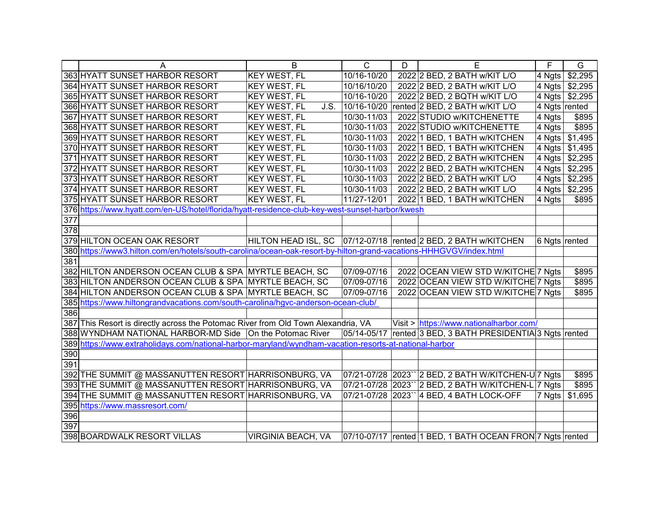|                  | A                                                                                                                  | B                           | $\mathsf{C}$               | D | E                                                              | F             | G              |
|------------------|--------------------------------------------------------------------------------------------------------------------|-----------------------------|----------------------------|---|----------------------------------------------------------------|---------------|----------------|
|                  | 363 HYATT SUNSET HARBOR RESORT                                                                                     | <b>KEY WEST, FL</b>         | 10/16-10/20                |   | 2022 2 BED, 2 BATH w/KIT L/O                                   | 4 Ngts        | \$2,295        |
|                  | 364 HYATT SUNSET HARBOR RESORT                                                                                     | <b>KEY WEST, FL</b>         | 10/16/10/20                |   | 2022 2 BED, 2 BATH w/KIT L/O                                   |               | 4 Ngts \$2,295 |
|                  | 365 HYATT SUNSET HARBOR RESORT                                                                                     | <b>KEY WEST, FL</b>         | 10/16-10/20                |   | 2022 2 BED, 2 BQTH w/KIT L/O                                   |               | 4 Ngts \$2,295 |
|                  | 366 HYATT SUNSET HARBOR RESORT                                                                                     | <b>KEY WEST, FL</b><br>J.S. | 10/16-10/20                |   | rented 2 BED, 2 BATH w/KIT L/O                                 |               | 4 Ngts rented  |
|                  | 367 HYATT SUNSET HARBOR RESORT                                                                                     | <b>KEY WEST, FL</b>         | 10/30-11/03                |   | 2022 STUDIO w/KITCHENETTE                                      | 4 Ngts        | \$895          |
|                  | 368 HYATT SUNSET HARBOR RESORT                                                                                     | <b>KEY WEST, FL</b>         | 10/30-11/03                |   | 2022 STUDIO w/KITCHENETTE                                      | 4 Ngts        | \$895          |
|                  | 369 HYATT SUNSET HARBOR RESORT                                                                                     | <b>KEY WEST, FL</b>         | 10/30-11/03                |   | 2022 1 BED, 1 BATH w/KITCHEN                                   |               | 4 Ngts \$1,495 |
|                  | 370 HYATT SUNSET HARBOR RESORT                                                                                     | <b>KEY WEST, FL</b>         | $\sqrt{10/30} - 11/03$     |   | 2022 1 BED, 1 BATH w/KITCHEN                                   |               | 4 Ngts \$1,495 |
|                  | 371 HYATT SUNSET HARBOR RESORT                                                                                     | <b>KEY WEST, FL</b>         | 10/30-11/03                |   | 2022 2 BED, 2 BATH w/KITCHEN                                   |               | 4 Ngts \$2,295 |
|                  | 372 HYATT SUNSET HARBOR RESORT                                                                                     | <b>KEY WEST, FL</b>         | 10/30-11/03                |   | 2022 2 BED, 2 BATH w/KITCHEN                                   |               | 4 Ngts \$2,295 |
|                  | 373 HYATT SUNSET HARBOR RESORT                                                                                     | <b>KEY WEST, FL</b>         | 10/30-11/03                |   | 2022 2 BED, 2 BATH w/KIT L/O                                   |               | 4 Ngts \$2,295 |
|                  | 374 HYATT SUNSET HARBOR RESORT                                                                                     | <b>KEY WEST, FL</b>         | 10/30-11/03                |   | 2022 2 BED, 2 BATH w/KIT L/O                                   | 4 Ngts        | \$2,295        |
|                  | 375 HYATT SUNSET HARBOR RESORT                                                                                     | <b>KEY WEST, FL</b>         | $\overline{11/27} - 12/01$ |   | 2022 1 BED, 1 BATH w/KITCHEN                                   | 4 Ngts        | \$895          |
|                  | 376 https://www.hyatt.com/en-US/hotel/florida/hyatt-residence-club-key-west-sunset-harbor/kwesh                    |                             |                            |   |                                                                |               |                |
| $\overline{377}$ |                                                                                                                    |                             |                            |   |                                                                |               |                |
| $\overline{378}$ |                                                                                                                    |                             |                            |   |                                                                |               |                |
|                  | 379 HILTON OCEAN OAK RESORT                                                                                        |                             |                            |   | HILTON HEAD ISL, SC 07/12-07/18 rented 2 BED, 2 BATH w/KITCHEN | 6 Ngts rented |                |
|                  | 380 https://www3.hilton.com/en/hotels/south-carolina/ocean-oak-resort-by-hilton-grand-vacations-HHHGVGV/index.html |                             |                            |   |                                                                |               |                |
| 381              |                                                                                                                    |                             |                            |   |                                                                |               |                |
|                  | 382 HILTON ANDERSON OCEAN CLUB & SPA MYRTLE BEACH, SC                                                              |                             | 07/09-07/16                |   | 2022 OCEAN VIEW STD W/KITCHE 7 Ngts                            |               | \$895          |
|                  | 383 HILTON ANDERSON OCEAN CLUB & SPA MYRTLE BEACH, SC                                                              |                             | 07/09-07/16                |   | 2022 OCEAN VIEW STD W/KITCHE 7 Ngts                            |               | \$895          |
|                  | 384 HILTON ANDERSON OCEAN CLUB & SPA MYRTLE BEACH, SC                                                              |                             | 07/09-07/16                |   | 2022 OCEAN VIEW STD W/KITCHE 7 Ngts                            |               | \$895          |
|                  | 385 https://www.hiltongrandvacations.com/south-carolina/hgvc-anderson-ocean-club/                                  |                             |                            |   |                                                                |               |                |
| 386              |                                                                                                                    |                             |                            |   |                                                                |               |                |
|                  | 387 This Resort is directly across the Potomac River from Old Town Alexandria, VA                                  |                             |                            |   | Visit > https://www.nationalharbor.com/                        |               |                |
|                  | 388 WYNDHAM NATIONAL HARBOR-MD Side   On the Potomac River                                                         |                             |                            |   | 05/14-05/17 rented 3 BED, 3 BATH PRESIDENTIA 3 Ngts rented     |               |                |
|                  | 389 https://www.extraholidays.com/national-harbor-maryland/wyndham-vacation-resorts-at-national-harbor             |                             |                            |   |                                                                |               |                |
| 390              |                                                                                                                    |                             |                            |   |                                                                |               |                |
| 391              |                                                                                                                    |                             |                            |   |                                                                |               |                |
|                  | 392 THE SUMMIT @ MASSANUTTEN RESORT HARRISONBURG, VA                                                               |                             |                            |   | 07/21-07/28 2023" 2 BED, 2 BATH W/KITCHEN-U 7 Ngts             |               | \$895          |
|                  | 393 THE SUMMIT @ MASSANUTTEN RESORT HARRISONBURG, VA                                                               |                             |                            |   | 07/21-07/28 2023" 2 BED, 2 BATH W/KITCHEN-L 7 Ngts             |               | \$895          |
|                  | 394 THE SUMMIT @ MASSANUTTEN RESORT HARRISONBURG, VA                                                               |                             | 07/21-07/28 2023``         |   | 4 BED, 4 BATH LOCK-OFF                                         | 7 Ngts        | \$1,695        |
|                  | 395 https://www.massresort.com/                                                                                    |                             |                            |   |                                                                |               |                |
| 396              |                                                                                                                    |                             |                            |   |                                                                |               |                |
| 397              |                                                                                                                    |                             |                            |   |                                                                |               |                |
|                  | 398 BOARDWALK RESORT VILLAS                                                                                        | <b>VIRGINIA BEACH, VA</b>   |                            |   | 07/10-07/17 rented 1 BED, 1 BATH OCEAN FRON 7 Ngts rented      |               |                |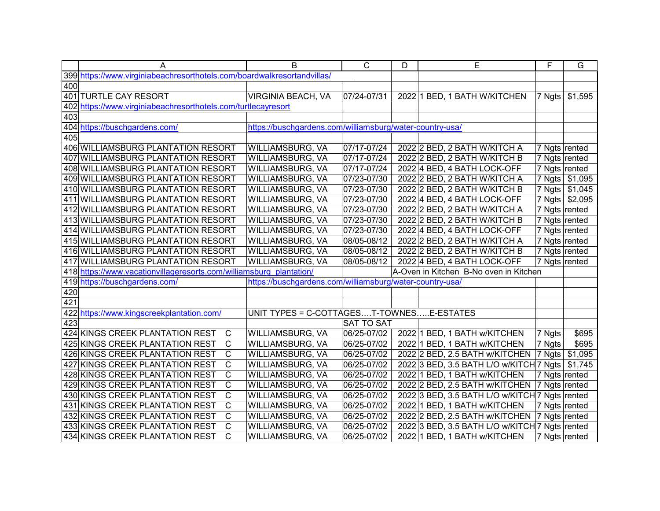|     | A                                                                       | B                                                        | $\mathsf{C}$      | D | E                                              | F             | G              |
|-----|-------------------------------------------------------------------------|----------------------------------------------------------|-------------------|---|------------------------------------------------|---------------|----------------|
|     | 399 https://www.virginiabeachresorthotels.com/boardwalkresortandvillas/ |                                                          |                   |   |                                                |               |                |
| 400 |                                                                         |                                                          |                   |   |                                                |               |                |
|     | 401 TURTLE CAY RESORT                                                   | VIRGINIA BEACH, VA                                       | 07/24-07/31       |   | 2022 1 BED, 1 BATH W/KITCHEN                   | 7 Ngts        | \$1,595        |
|     | 402 https://www.virginiabeachresorthotels.com/turtlecayresort           |                                                          |                   |   |                                                |               |                |
| 403 |                                                                         |                                                          |                   |   |                                                |               |                |
|     | 404 https://buschgardens.com/                                           | https://buschgardens.com/williamsburg/water-country-usa/ |                   |   |                                                |               |                |
| 405 |                                                                         |                                                          |                   |   |                                                |               |                |
|     | 406 WILLIAMSBURG PLANTATION RESORT                                      | <b>WILLIAMSBURG, VA</b>                                  | 07/17-07/24       |   | 2022 2 BED, 2 BATH W/KITCH A                   | 7 Ngts rented |                |
|     | 407 WILLIAMSBURG PLANTATION RESORT                                      | <b>WILLIAMSBURG, VA</b>                                  | 07/17-07/24       |   | 2022 2 BED, 2 BATH W/KITCH B                   |               | 7 Ngts rented  |
|     | 408 WILLIAMSBURG PLANTATION RESORT                                      | WILLIAMSBURG, VA                                         | 07/17-07/24       |   | 2022 4 BED, 4 BATH LOCK-OFF                    |               | 7 Ngts rented  |
|     | 409 WILLIAMSBURG PLANTATION RESORT                                      | WILLIAMSBURG, VA                                         | 07/23-07/30       |   | 2022 2 BED, 2 BATH W/KITCH A                   |               | 7 Ngts \$1,095 |
|     | 410 WILLIAMSBURG PLANTATION RESORT                                      | WILLIAMSBURG, VA                                         | 07/23-07/30       |   | 2022 2 BED, 2 BATH W/KITCH B                   |               | 7 Ngts \$1,045 |
|     | 411 WILLIAMSBURG PLANTATION RESORT                                      | WILLIAMSBURG, VA                                         | 07/23-07/30       |   | 2022 4 BED, 4 BATH LOCK-OFF                    |               | 7 Ngts \$2,095 |
|     | 412 WILLIAMSBURG PLANTATION RESORT                                      | WILLIAMSBURG, VA                                         | 07/23-07/30       |   | 2022 2 BED, 2 BATH W/KITCH A                   |               | 7 Ngts rented  |
|     | 413 WILLIAMSBURG PLANTATION RESORT                                      | WILLIAMSBURG, VA                                         | 07/23-07/30       |   | 2022 2 BED, 2 BATH W/KITCH B                   |               | 7 Ngts rented  |
|     | 414 WILLIAMSBURG PLANTATION RESORT                                      | WILLIAMSBURG, VA                                         | 07/23-07/30       |   | 2022 4 BED, 4 BATH LOCK-OFF                    | 7 Ngts rented |                |
|     | 415 WILLIAMSBURG PLANTATION RESORT                                      | WILLIAMSBURG, VA                                         | 08/05-08/12       |   | 2022 2 BED, 2 BATH W/KITCH A                   |               | 7 Ngts rented  |
|     | 416 WILLIAMSBURG PLANTATION RESORT                                      | WILLIAMSBURG, VA                                         | 08/05-08/12       |   | 2022 2 BED, 2 BATH W/KITCH B                   |               | 7 Ngts rented  |
|     | 417 WILLIAMSBURG PLANTATION RESORT                                      | WILLIAMSBURG, VA                                         | 08/05-08/12       |   | 2022 4 BED, 4 BATH LOCK-OFF                    | 7 Ngts rented |                |
|     | 418 https://www.vacationvillageresorts.com/williamsburg plantation/     |                                                          |                   |   | A-Oven in Kitchen B-No oven in Kitchen         |               |                |
|     | 419 https://buschgardens.com/                                           | https://buschgardens.com/williamsburg/water-country-usa/ |                   |   |                                                |               |                |
| 420 |                                                                         |                                                          |                   |   |                                                |               |                |
| 421 |                                                                         |                                                          |                   |   |                                                |               |                |
|     | 422 https://www.kingscreekplantation.com/                               | UNIT TYPES = C-COTTAGEST-TOWNESE-ESTATES                 |                   |   |                                                |               |                |
| 423 |                                                                         |                                                          | <b>SAT TO SAT</b> |   |                                                |               |                |
|     | 424 KINGS CREEK PLANTATION REST<br>$\mathsf{C}$                         | WILLIAMSBURG, VA                                         | 06/25-07/02       |   | 2022 1 BED, 1 BATH w/KITCHEN                   | 7 Ngts        | \$695          |
|     | $\mathsf{C}$<br>425 KINGS CREEK PLANTATION REST                         | WILLIAMSBURG, VA                                         | 06/25-07/02       |   | 2022 1 BED, 1 BATH w/KITCHEN                   | 7 Ngts        | \$695          |
|     | $\mathsf{C}$<br>426 KINGS CREEK PLANTATION REST                         | WILLIAMSBURG, VA                                         | 06/25-07/02       |   | 2022 2 BED, 2.5 BATH w/KITCHEN                 | 7 Ngts        | \$1,095        |
|     | $\mathsf{C}$<br>427 KINGS CREEK PLANTATION REST                         | WILLIAMSBURG, VA                                         | 06/25-07/02       |   | 2022 3 BED, 3.5 BATH L/O w/KITCH 7 Ngts        |               | \$1,745        |
|     | $\overline{C}$<br>428 KINGS CREEK PLANTATION REST                       | WILLIAMSBURG, VA                                         | 06/25-07/02       |   | 2022 1 BED, 1 BATH w/KITCHEN                   | 7 Ngts rented |                |
|     | $\overline{C}$<br>429 KINGS CREEK PLANTATION REST                       | WILLIAMSBURG, VA                                         | 06/25-07/02       |   | 2022 2 BED, 2.5 BATH w/KITCHEN                 | 7 Ngts rented |                |
|     | $\overline{C}$<br>430 KINGS CREEK PLANTATION REST                       | WILLIAMSBURG, VA                                         | 06/25-07/02       |   | 2022 3 BED, 3.5 BATH L/O w/KITCH 7 Ngts rented |               |                |
|     | $\overline{C}$<br>431 KINGS CREEK PLANTATION REST                       | WILLIAMSBURG, VA                                         | 06/25-07/02       |   | 2022 1 BED, 1 BATH w/KITCHEN                   |               | 7 Ngts rented  |
|     | $\overline{C}$<br>432 KINGS CREEK PLANTATION REST                       | WILLIAMSBURG, VA                                         | 06/25-07/02       |   | 2022 2 BED, 2.5 BATH w/KITCHEN                 | 7 Ngts rented |                |
|     | $\overline{C}$<br>433 KINGS CREEK PLANTATION REST                       | WILLIAMSBURG, VA                                         | 06/25-07/02       |   | 2022 3 BED, 3.5 BATH L/O w/KITCH 7 Ngts rented |               |                |
|     | $\mathsf{C}$<br>434 KINGS CREEK PLANTATION REST                         | WILLIAMSBURG, VA                                         | 06/25-07/02       |   | 2022 1 BED, 1 BATH w/KITCHEN                   | 7 Ngts rented |                |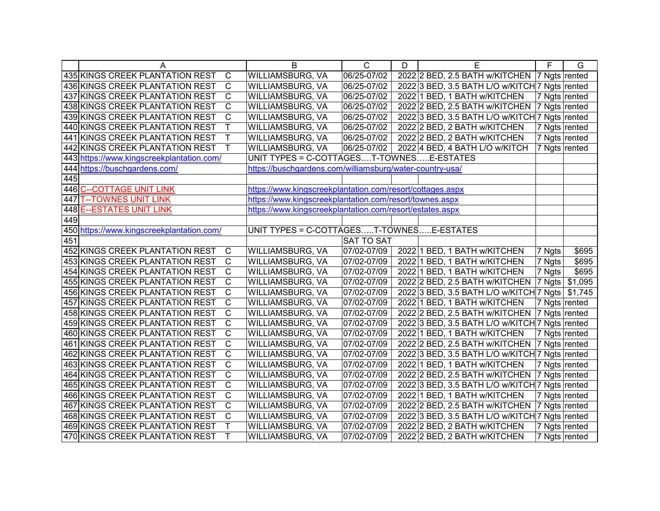|     | A                                               | B                                                         | C                 | D | E                                               | F.            | G       |
|-----|-------------------------------------------------|-----------------------------------------------------------|-------------------|---|-------------------------------------------------|---------------|---------|
|     | 435 KINGS CREEK PLANTATION REST<br>C            | WILLIAMSBURG, VA                                          | 06/25-07/02       |   | 2022 2 BED, 2.5 BATH w/KITCHEN   7 Ngts rented  |               |         |
|     | $\mathsf C$<br>436 KINGS CREEK PLANTATION REST  | WILLIAMSBURG, VA                                          | 06/25-07/02       |   | 2022 3 BED, 3.5 BATH L/O w/KITCH 7 Ngts rented  |               |         |
|     | C<br>437 KINGS CREEK PLANTATION REST            | WILLIAMSBURG, VA                                          | 06/25-07/02       |   | 2022 1 BED, 1 BATH w/KITCHEN                    | 7 Ngts rented |         |
|     | C<br>438 KINGS CREEK PLANTATION REST            | WILLIAMSBURG, VA                                          | 06/25-07/02       |   | 2022 2 BED, 2.5 BATH w/KITCHEN   7 Ngts rented  |               |         |
|     | C<br>439 KINGS CREEK PLANTATION REST            | WILLIAMSBURG, VA                                          | 06/25-07/02       |   | 2022 3 BED, 3.5 BATH L/O w/KITCH 7 Ngts rented  |               |         |
|     | Τ<br>440 KINGS CREEK PLANTATION REST            | WILLIAMSBURG, VA                                          | 06/25-07/02       |   | 2022 2 BED, 2 BATH w/KITCHEN                    | 7 Ngts rented |         |
|     | T<br>441 KINGS CREEK PLANTATION REST            | WILLIAMSBURG, VA                                          | 06/25-07/02       |   | 2022 2 BED, 2 BATH w/KITCHEN                    | 7 Ngts rented |         |
|     | T<br>442 KINGS CREEK PLANTATION REST            | WILLIAMSBURG, VA                                          | 06/25-07/02       |   | 2022 4 BED, 4 BATH L/O w/KITCH                  | 7 Ngts rented |         |
|     | 443 https://www.kingscreekplantation.com/       | UNIT TYPES = C-COTTAGEST-TOWNESE-ESTATES                  |                   |   |                                                 |               |         |
|     | 444 https://buschgardens.com/                   | https://buschgardens.com/williamsburg/water-country-usa/  |                   |   |                                                 |               |         |
| 445 |                                                 |                                                           |                   |   |                                                 |               |         |
|     | 446 C--COTTAGE UNIT LINK                        | https://www.kingscreekplantation.com/resort/cottages.aspx |                   |   |                                                 |               |         |
| 447 | <b>T--TOWNES UNIT LINK</b>                      | https://www.kingscreekplantation.com/resort/townes.aspx   |                   |   |                                                 |               |         |
| 448 | <u>E--ESTATES UNIT LINK</u>                     | https://www.kingscreekplantation.com/resort/estates.aspx  |                   |   |                                                 |               |         |
| 449 |                                                 |                                                           |                   |   |                                                 |               |         |
|     | 450 https://www.kingscreekplantation.com/       | UNIT TYPES = C-COTTAGEST-TOWNESE-ESTATES                  |                   |   |                                                 |               |         |
| 451 |                                                 |                                                           | <b>SAT TO SAT</b> |   |                                                 |               |         |
|     | 452 KINGS CREEK PLANTATION REST<br>$\mathsf{C}$ | WILLIAMSBURG, VA                                          | 07/02-07/09       |   | 2022 1 BED, 1 BATH w/KITCHEN                    | 7 Ngts        | \$695   |
|     | $\mathbf C$<br>453 KINGS CREEK PLANTATION REST  | WILLIAMSBURG, VA                                          | 07/02-07/09       |   | 2022 1 BED, 1 BATH w/KITCHEN                    | 7 Ngts        | \$695   |
|     | $\mathsf{C}$<br>454 KINGS CREEK PLANTATION REST | WILLIAMSBURG, VA                                          | 07/02-07/09       |   | 2022 1 BED, 1 BATH w/KITCHEN                    | 7 Ngts        | \$695   |
|     | $\mathsf C$<br>455 KINGS CREEK PLANTATION REST  | WILLIAMSBURG, VA                                          | 07/02-07/09       |   | 2022 2 BED, 2.5 BATH w/KITCHEN                  | 7 Ngts        | \$1,095 |
|     | $\mathsf C$<br>456 KINGS CREEK PLANTATION REST  | WILLIAMSBURG, VA                                          | 07/02-07/09       |   | 2022 3 BED, 3.5 BATH L/O w/KITCH 7 Ngts \$1,745 |               |         |
|     | $\mathsf C$<br>457 KINGS CREEK PLANTATION REST  | WILLIAMSBURG, VA                                          | 07/02-07/09       |   | 2022 1 BED, 1 BATH w/KITCHEN                    | 7 Ngts rented |         |
|     | $\mathsf C$<br>458 KINGS CREEK PLANTATION REST  | WILLIAMSBURG, VA                                          | 07/02-07/09       |   | 2022 2 BED, 2.5 BATH w/KITCHEN                  | 7 Ngts rented |         |
|     | C<br>459 KINGS CREEK PLANTATION REST            | WILLIAMSBURG, VA                                          | 07/02-07/09       |   | 2022 3 BED, 3.5 BATH L/O w/KITCH 7 Ngts rented  |               |         |
|     | С<br>460 KINGS CREEK PLANTATION REST            | WILLIAMSBURG, VA                                          | 07/02-07/09       |   | 2022 1 BED, 1 BATH w/KITCHEN                    | 7 Ngts rented |         |
|     | $\mathsf C$<br>461 KINGS CREEK PLANTATION REST  | WILLIAMSBURG, VA                                          | 07/02-07/09       |   | 2022 2 BED, 2.5 BATH w/KITCHEN                  | 7 Ngts rented |         |
|     | $\mathsf C$<br>462 KINGS CREEK PLANTATION REST  | WILLIAMSBURG, VA                                          | 07/02-07/09       |   | 2022 3 BED, 3.5 BATH L/O w/KITCH 7 Ngts rented  |               |         |
|     | $\mathsf C$<br>463 KINGS CREEK PLANTATION REST  | WILLIAMSBURG, VA                                          | 07/02-07/09       |   | 2022 1 BED, 1 BATH w/KITCHEN                    | 7 Ngts rented |         |
|     | $\mathsf C$<br>464 KINGS CREEK PLANTATION REST  | WILLIAMSBURG, VA                                          | 07/02-07/09       |   | 2022 2 BED, 2.5 BATH w/KITCHEN                  | 7 Ngts rented |         |
|     | C<br>465 KINGS CREEK PLANTATION REST            | WILLIAMSBURG, VA                                          | 07/02-07/09       |   | 2022 3 BED, 3.5 BATH L/O w/KITCH 7 Ngts rented  |               |         |
|     | C<br>466 KINGS CREEK PLANTATION REST            | WILLIAMSBURG, VA                                          | 07/02-07/09       |   | 2022 1 BED, 1 BATH w/KITCHEN                    | 7 Ngts rented |         |
|     | $\mathsf C$<br>467 KINGS CREEK PLANTATION REST  | WILLIAMSBURG, VA                                          | 07/02-07/09       |   | 2022 2 BED, 2.5 BATH w/KITCHEN   7 Ngts rented  |               |         |
|     | C<br>468 KINGS CREEK PLANTATION REST            | WILLIAMSBURG, VA                                          | 07/02-07/09       |   | 2022 3 BED, 3.5 BATH L/O w/KITCH 7 Ngts rented  |               |         |
|     | 469 KINGS CREEK PLANTATION REST<br>Τ            | WILLIAMSBURG, VA                                          | 07/02-07/09       |   | 2022 2 BED, 2 BATH w/KITCHEN                    | 7 Ngts rented |         |
|     | T<br>470 KINGS CREEK PLANTATION REST            | <b>WILLIAMSBURG, VA</b>                                   | 07/02-07/09       |   | 2022 2 BED, 2 BATH w/KITCHEN                    | 7 Ngts rented |         |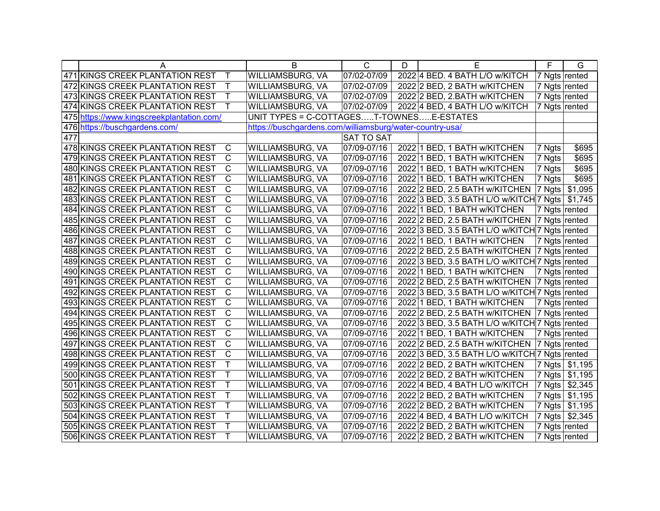|     | А                                               | B                                        | С                                                        | D | Е                                               | F                  | G                |
|-----|-------------------------------------------------|------------------------------------------|----------------------------------------------------------|---|-------------------------------------------------|--------------------|------------------|
|     | 471 KINGS CREEK PLANTATION REST<br>Т            | WILLIAMSBURG, VA                         | 07/02-07/09                                              |   | 2022 4 BED. 4 BATH L/O w/KITCH                  | 7 Ngts rented      |                  |
|     | 472 KINGS CREEK PLANTATION REST<br>Τ            | WILLIAMSBURG, VA                         | 07/02-07/09                                              |   | 2022 2 BED, 2 BATH w/KITCHEN                    | 7 Ngts rented      |                  |
|     | Τ<br>473 KINGS CREEK PLANTATION REST            | WILLIAMSBURG, VA                         | 07/02-07/09                                              |   | 2022 2 BED, 2.BATH w/KITCHEN                    |                    | 7 Ngts rented    |
|     | Τ<br>474 KINGS CREEK PLANTATION REST            | WILLIAMSBURG, VA                         | 07/02-07/09                                              |   | 2022 4 BED, 4 BATH L/O w/KITCH                  | 7 Ngts rented      |                  |
|     | 475 https://www.kingscreekplantation.com/       | UNIT TYPES = C-COTTAGEST-TOWNESE-ESTATES |                                                          |   |                                                 |                    |                  |
|     | 476 https://buschgardens.com/                   |                                          | https://buschgardens.com/williamsburg/water-country-usa/ |   |                                                 |                    |                  |
| 477 |                                                 |                                          | <b>SAT TO SAT</b>                                        |   |                                                 |                    |                  |
|     | 478 KINGS CREEK PLANTATION REST<br>C            | <b>WILLIAMSBURG, VA</b>                  | 07/09-07/16                                              |   | 2022 1 BED, 1 BATH w/KITCHEN                    | 7 Ngts             | \$695            |
|     | С<br>479 KINGS CREEK PLANTATION REST            | WILLIAMSBURG, VA                         | 07/09-07/16                                              |   | 2022 1 BED, 1 BATH w/KITCHEN                    | 7 Ngts             | \$695            |
|     | 480 KINGS CREEK PLANTATION REST<br>С            | WILLIAMSBURG, VA                         | 07/09-07/16                                              |   | 2022 1 BED, 1 BATH w/KITCHEN                    | 7 Ngts             | \$695            |
|     | С<br>481 KINGS CREEK PLANTATION REST            | WILLIAMSBURG, VA                         | 07/09-07/16                                              |   | 2022 1 BED, 1 BATH w/KITCHEN                    | 7 Ngts             | \$695            |
|     | С<br>482 KINGS CREEK PLANTATION REST            | WILLIAMSBURG, VA                         | 07/09-07/16                                              |   | 2022 2 BED, 2.5 BATH w/KITCHEN                  | $ 7 \text{ Ngts} $ | \$1,095          |
|     | C<br>483 KINGS CREEK PLANTATION REST            | WILLIAMSBURG, VA                         | 07/09-07/16                                              |   | 2022 3 BED, 3.5 BATH L/O w/KITCH 7 Ngts \$1,745 |                    |                  |
|     | C<br>484 KINGS CREEK PLANTATION REST            | WILLIAMSBURG, VA                         | 07/09-07/16                                              |   | 2022 1 BED, 1 BATH w/KITCHEN                    | 7 Ngts rented      |                  |
|     | C<br>485 KINGS CREEK PLANTATION REST            | WILLIAMSBURG, VA                         | 07/09-07/16                                              |   | 2022 2 BED, 2.5 BATH w/KITCHEN                  | 7 Ngts rented      |                  |
|     | C<br>486 KINGS CREEK PLANTATION REST            | WILLIAMSBURG, VA                         | 07/09-07/16                                              |   | 2022 3 BED, 3.5 BATH L/O w/KITCH 7 Ngts rented  |                    |                  |
|     | $\mathsf{C}$<br>487 KINGS CREEK PLANTATION REST | WILLIAMSBURG, VA                         | 07/09-07/16                                              |   | 2022 1 BED, 1 BATH w/KITCHEN                    | 7 Ngts rented      |                  |
|     | C<br>488 KINGS CREEK PLANTATION REST            | WILLIAMSBURG, VA                         | 07/09-07/16                                              |   | 2022 2 BED, 2.5 BATH w/KITCHEN                  | 7 Ngts rented      |                  |
|     | $\mathsf{C}$<br>489 KINGS CREEK PLANTATION REST | WILLIAMSBURG, VA                         | 07/09-07/16                                              |   | 2022 3 BED, 3.5 BATH L/O w/KITCH 7 Ngts rented  |                    |                  |
|     | С<br>490 KINGS CREEK PLANTATION REST            | WILLIAMSBURG, VA                         | 07/09-07/16                                              |   | 2022 1 BED, 1 BATH w/KITCHEN                    | 7 Ngts rented      |                  |
|     | C<br>491 KINGS CREEK PLANTATION REST            | WILLIAMSBURG, VA                         | 07/09-07/16                                              |   | 2022 2 BED, 2.5 BATH w/KITCHEN                  | 7 Ngts rented      |                  |
|     | $\mathsf{C}$<br>492 KINGS CREEK PLANTATION REST | WILLIAMSBURG, VA                         | 07/09-07/16                                              |   | 2022 3 BED, 3.5 BATH L/O w/KITCH 7 Ngts rented  |                    |                  |
|     | C<br>493 KINGS CREEK PLANTATION REST            | WILLIAMSBURG, VA                         | 07/09-07/16                                              |   | 2022 1 BED, 1 BATH w/KITCHEN                    | 7 Ngts rented      |                  |
|     | C<br>494 KINGS CREEK PLANTATION REST            | WILLIAMSBURG, VA                         | 07/09-07/16                                              |   | 2022 2 BED, 2.5 BATH w/KITCHEN                  | 7 Ngts rented      |                  |
|     | $\mathsf{C}$<br>495 KINGS CREEK PLANTATION REST | WILLIAMSBURG, VA                         | 07/09-07/16                                              |   | 2022 3 BED, 3.5 BATH L/O w/KITCH 7 Ngts rented  |                    |                  |
|     | С<br>496 KINGS CREEK PLANTATION REST            | WILLIAMSBURG, VA                         | 07/09-07/16                                              |   | 2022 1 BED, 1 BATH w/KITCHEN                    | 7 Ngts rented      |                  |
|     | $\mathsf C$<br>497 KINGS CREEK PLANTATION REST  | WILLIAMSBURG, VA                         | 07/09-07/16                                              |   | 2022 2 BED, 2.5 BATH w/KITCHEN                  | 7 Ngts rented      |                  |
|     | $\mathsf{C}$<br>498 KINGS CREEK PLANTATION REST | <b>WILLIAMSBURG, VA</b>                  | 07/09-07/16                                              |   | 2022 3 BED, 3.5 BATH L/O w/KITCH 7 Ngts rented  |                    |                  |
|     | Τ<br>499 KINGS CREEK PLANTATION REST            | WILLIAMSBURG, VA                         | 07/09-07/16                                              |   | 2022 2 BED, 2 BATH w/KITCHEN                    |                    | 7 Ngts   \$1,195 |
|     | Τ<br>500 KINGS CREEK PLANTATION REST            | WILLIAMSBURG, VA                         | 07/09-07/16                                              |   | 2022 2 BED, 2 BATH w/KITCHEN                    |                    | 7 Ngts \$1,195   |
|     | Τ<br>501 KINGS CREEK PLANTATION REST            | WILLIAMSBURG, VA                         | 07/09-07/16                                              |   | 2022 4 BED, 4 BATH L/O w/KITCH                  |                    | 7 Ngts \$2,345   |
|     | 502 KINGS CREEK PLANTATION REST<br>Τ            | WILLIAMSBURG, VA                         | 07/09-07/16                                              |   | 2022 2 BED, 2 BATH w/KITCHEN                    |                    | 7 Ngts   \$1,195 |
|     | Τ<br>503 KINGS CREEK PLANTATION REST            | <b>WILLIAMSBURG, VA</b>                  | 07/09-07/16                                              |   | 2022 2 BED, 2 BATH w/KITCHEN                    |                    | 7 Ngts \$1,195   |
|     | 504 KINGS CREEK PLANTATION REST<br>т            | WILLIAMSBURG, VA                         | 07/09-07/16                                              |   | 2022 4 BED, 4 BATH L/O w/KITCH                  |                    | 7 Ngts \$2,345   |
|     | 505 KINGS CREEK PLANTATION REST<br>Τ            | WILLIAMSBURG, VA                         | 07/09-07/16                                              |   | 2022 2 BED, 2 BATH w/KITCHEN                    |                    | 7 Ngts rented    |
|     | 506 KINGS CREEK PLANTATION REST<br>т            | <b>WILLIAMSBURG, VA</b>                  | 07/09-07/16                                              |   | 2022 2 BED, 2 BATH w/KITCHEN                    | 7 Ngts rented      |                  |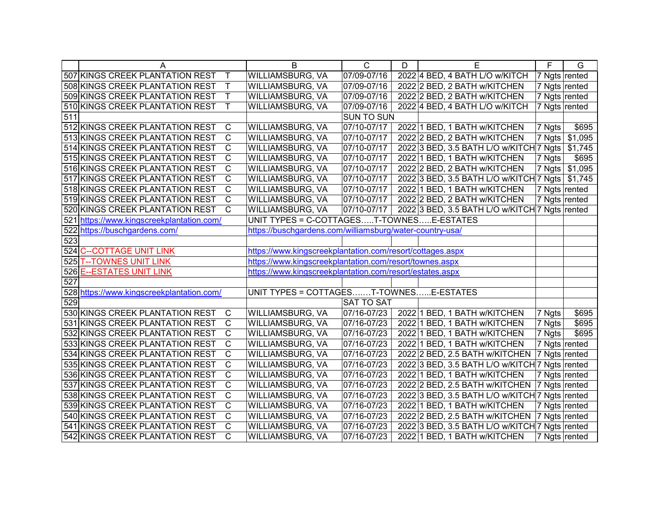|                  | A                                                 | B                                                         | $\overline{C}$    | D | Е                                              | $\overline{F}$ | $\overline{G}$ |
|------------------|---------------------------------------------------|-----------------------------------------------------------|-------------------|---|------------------------------------------------|----------------|----------------|
|                  | 507 KINGS CREEK PLANTATION REST<br>$\top$         | WILLIAMSBURG, VA                                          | 07/09-07/16       |   | 2022 4 BED, 4 BATH L/O w/KITCH                 | 7 Ngts rented  |                |
|                  | $\top$<br>508 KINGS CREEK PLANTATION REST         | WILLIAMSBURG, VA                                          | 07/09-07/16       |   | 2022 2 BED, 2 BATH w/KITCHEN                   | 7 Ngts rented  |                |
|                  | $\mathsf{T}$<br>509 KINGS CREEK PLANTATION REST   | WILLIAMSBURG, VA                                          | 07/09-07/16       |   | 2022 2 BED, 2 BATH w/KITCHEN                   | 7 Ngts rented  |                |
|                  | $\mathsf{T}$<br>510 KINGS CREEK PLANTATION REST   | WILLIAMSBURG, VA                                          | 07/09-07/16       |   | 2022 4 BED, 4 BATH L/O w/KITCH                 | 7 Ngts rented  |                |
| 511              |                                                   |                                                           | SUN TO SUN        |   |                                                |                |                |
|                  | 512 KINGS CREEK PLANTATION REST<br>$\mathsf{C}$   | WILLIAMSBURG, VA                                          | 07/10-07/17       |   | 2022 1 BED, 1 BATH w/KITCHEN                   | 7 Ngts         | \$695          |
|                  | $\overline{C}$<br>513 KINGS CREEK PLANTATION REST | WILLIAMSBURG, VA                                          | 07/10-07/17       |   | 2022 2 BED, 2 BATH w/KITCHEN                   | 7 Ngts         | \$1,095        |
|                  | $\overline{C}$<br>514 KINGS CREEK PLANTATION REST | WILLIAMSBURG, VA                                          | 07/10-07/17       |   | 2022 3 BED, 3.5 BATH L/O w/KITCH 7 Ngts        |                | \$1,745        |
|                  | $\overline{C}$<br>515 KINGS CREEK PLANTATION REST | WILLIAMSBURG, VA                                          | 07/10-07/17       |   | 2022 1 BED, 1 BATH w/KITCHEN                   | 7 Ngts         | \$695          |
|                  | $\overline{C}$<br>516 KINGS CREEK PLANTATION REST | WILLIAMSBURG, VA                                          | 07/10-07/17       |   | 2022 2 BED, 2 BATH w/KITCHEN                   | 7 Ngts         | \$1,095        |
|                  | $\mathsf C$<br>517 KINGS CREEK PLANTATION REST    | WILLIAMSBURG, VA                                          | 07/10-07/17       |   | 2022 3 BED, 3.5 BATH L/O w/KITCH 7 Ngts        |                | \$1,745        |
|                  | $\mathsf{C}$<br>518 KINGS CREEK PLANTATION REST   | WILLIAMSBURG, VA                                          | 07/10-07/17       |   | 2022 1 BED, 1 BATH w/KITCHEN                   | 7 Ngts rented  |                |
|                  | $\mathsf{C}$<br>519 KINGS CREEK PLANTATION REST   | WILLIAMSBURG, VA                                          | 07/10-07/17       |   | 2022 2 BED, 2 BATH w/KITCHEN                   |                | 7 Ngts rented  |
|                  | $\mathsf{C}$<br>520 KINGS CREEK PLANTATION REST   | WILLIAMSBURG, VA                                          | 07/10-07/17       |   | 2022 3 BED, 3.5 BATH L/O w/KITCH 7 Ngts rented |                |                |
|                  | 521 https://www.kingscreekplantation.com/         | UNIT TYPES = C-COTTAGEST-TOWNESE-ESTATES                  |                   |   |                                                |                |                |
|                  | 522 https://buschgardens.com/                     | https://buschgardens.com/williamsburg/water-country-usa/  |                   |   |                                                |                |                |
| 523              |                                                   |                                                           |                   |   |                                                |                |                |
|                  | 524 C--COTTAGE UNIT LINK                          | https://www.kingscreekplantation.com/resort/cottages.aspx |                   |   |                                                |                |                |
| 525              | <b>T--TOWNES UNIT LINK</b>                        | https://www.kingscreekplantation.com/resort/townes.aspx   |                   |   |                                                |                |                |
| 526              | <b>E--ESTATES UNIT LINK</b>                       | https://www.kingscreekplantation.com/resort/estates.aspx  |                   |   |                                                |                |                |
| $\overline{527}$ |                                                   |                                                           |                   |   |                                                |                |                |
|                  | 528 https://www.kingscreekplantation.com/         | UNIT TYPES = COTTAGEST-TOWNESE-ESTATES                    |                   |   |                                                |                |                |
| 529              |                                                   |                                                           | <b>SAT TO SAT</b> |   |                                                |                |                |
|                  | 530 KINGS CREEK PLANTATION REST<br>C              | WILLIAMSBURG, VA                                          | 07/16-07/23       |   | 2022 1 BED, 1 BATH w/KITCHEN                   | 7 Ngts         | \$695          |
|                  | $\mathsf{C}$<br>531 KINGS CREEK PLANTATION REST   | WILLIAMSBURG, VA                                          | 07/16-07/23       |   | 2022 1 BED, 1 BATH w/KITCHEN                   | 7 Ngts         | \$695          |
|                  | $\mathsf{C}$<br>532 KINGS CREEK PLANTATION REST   | WILLIAMSBURG, VA                                          | 07/16-07/23       |   | 2022 1 BED, 1 BATH w/KITCHEN                   | 7 Ngts         | \$695          |
|                  | $\overline{C}$<br>533 KINGS CREEK PLANTATION REST | WILLIAMSBURG, VA                                          | 07/16-07/23       |   | 2022 1 BED, 1 BATH w/KITCHEN                   | 7 Ngts rented  |                |
|                  | $\overline{C}$<br>534 KINGS CREEK PLANTATION REST | WILLIAMSBURG, VA                                          | 07/16-07/23       |   | 2022 2 BED, 2.5 BATH w/KITCHEN                 | 7 Ngts rented  |                |
|                  | $\overline{C}$<br>535 KINGS CREEK PLANTATION REST | WILLIAMSBURG, VA                                          | 07/16-07/23       |   | 2022 3 BED, 3.5 BATH L/O w/KITCH 7 Ngts rented |                |                |
|                  | $\overline{C}$<br>536 KINGS CREEK PLANTATION REST | WILLIAMSBURG, VA                                          | 07/16-07/23       |   | 2022 1 BED, 1 BATH w/KITCHEN                   | 7 Ngts rented  |                |
|                  | $\overline{C}$<br>537 KINGS CREEK PLANTATION REST | WILLIAMSBURG, VA                                          | 07/16-07/23       |   | 2022 2 BED, 2.5 BATH w/KITCHEN                 | 7 Ngts rented  |                |
|                  | $\overline{C}$<br>538 KINGS CREEK PLANTATION REST | WILLIAMSBURG, VA                                          | 07/16-07/23       |   | 2022 3 BED, 3.5 BATH L/O w/KITCH 7 Ngts rented |                |                |
|                  | $\overline{C}$<br>539 KINGS CREEK PLANTATION REST | WILLIAMSBURG, VA                                          | 07/16-07/23       |   | 2022 1 BED, 1 BATH w/KITCHEN                   | 7 Ngts rented  |                |
|                  | $\overline{C}$<br>540 KINGS CREEK PLANTATION REST | WILLIAMSBURG, VA                                          | 07/16-07/23       |   | 2022 2 BED, 2.5 BATH w/KITCHEN                 | 7 Ngts rented  |                |
|                  | $\mathsf{C}$<br>541 KINGS CREEK PLANTATION REST   | WILLIAMSBURG, VA                                          | 07/16-07/23       |   | 2022 3 BED, 3.5 BATH L/O w/KITCH 7 Ngts rented |                |                |
|                  | $\mathsf{C}$<br>542 KINGS CREEK PLANTATION REST   | WILLIAMSBURG, VA                                          | 07/16-07/23       |   | 2022 1 BED, 1 BATH w/KITCHEN                   | 7 Ngts rented  |                |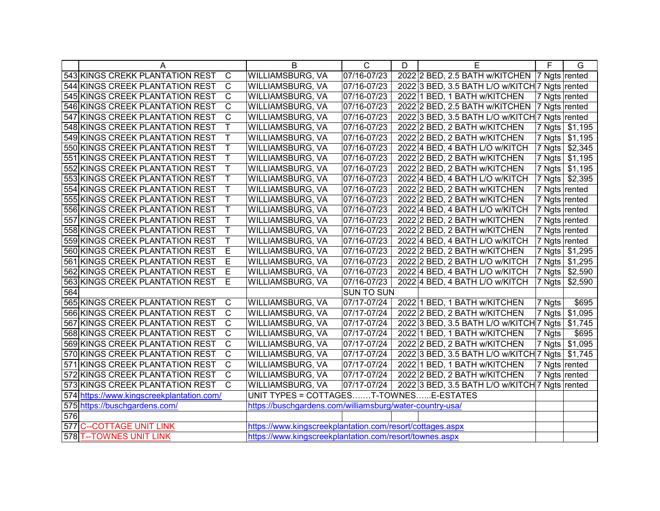|     | A                                                                                   | B                                                         | $\overline{C}$    | D | Е                                               | F             | G              |
|-----|-------------------------------------------------------------------------------------|-----------------------------------------------------------|-------------------|---|-------------------------------------------------|---------------|----------------|
|     | 543 KINGS CREKK PLANTATION REST<br>C                                                | WILLIAMSBURG, VA                                          | 07/16-07/23       |   | 2022 2 BED, 2.5 BATH w/KITCHEN   7 Ngts rented  |               |                |
|     | 544 KINGS CREEK PLANTATION REST<br>$\mathsf{C}$                                     | WILLIAMSBURG, VA                                          | 07/16-07/23       |   | 2022 3 BED, 3.5 BATH L/O w/KITCH 7 Ngts rented  |               |                |
|     | 545 KINGS CREEK PLANTATION REST<br>$\mathsf C$                                      | WILLIAMSBURG, VA                                          | 07/16-07/23       |   | 2022 1 BED, 1 BATH w/KITCHEN                    | 7 Ngts rented |                |
|     | $\mathsf C$<br>546 KINGS CREEK PLANTATION REST                                      | WILLIAMSBURG, VA                                          | 07/16-07/23       |   | 2022 2 BED, 2.5 BATH w/KITCHEN 7 Ngts rented    |               |                |
|     | $\mathsf C$<br>547 KINGS CREEK PLANTATION REST                                      | WILLIAMSBURG, VA                                          | 07/16-07/23       |   | 2022 3 BED, 3.5 BATH L/O w/KITCH 7 Ngts rented  |               |                |
|     | Τ<br>548 KINGS CREEK PLANTATION REST                                                | WILLIAMSBURG, VA                                          | 07/16-07/23       |   | 2022 2 BED, 2 BATH w/KITCHEN                    |               | 7 Ngts \$1,195 |
|     | Τ<br>549 KINGS CREEK PLANTATION REST                                                | WILLIAMSBURG, VA                                          | 07/16-07/23       |   | 2022 2 BED, 2 BATH w/KITCHEN                    |               | 7 Ngts \$1,195 |
|     | $\sf T$<br>550 KINGS CREEK PLANTATION REST                                          | WILLIAMSBURG, VA                                          | 07/16-07/23       |   | 2022 4 BED, 4 BATH L/O w/KITCH                  |               | 7 Ngts \$2,345 |
|     | Τ<br>551 KINGS CREEK PLANTATION REST                                                | WILLIAMSBURG, VA                                          | 07/16-07/23       |   | 2022 2 BED, 2 BATH w/KITCHEN                    |               | 7 Ngts \$1,195 |
|     | Τ<br>552 KINGS CREEK PLANTATION REST                                                | WILLIAMSBURG, VA                                          | 07/16-07/23       |   | 2022 2 BED, 2 BATH w/KITCHEN                    |               | 7 Ngts \$1,195 |
|     | 553 KINGS CREEK PLANTATION REST<br>Τ                                                | WILLIAMSBURG, VA                                          | 07/16-07/23       |   | 2022 4 BED, 4 BATH L/O w/KITCH                  |               | 7 Ngts \$2,395 |
|     | 554 KINGS CREEK PLANTATION REST<br>Τ                                                | WILLIAMSBURG, VA                                          | 07/16-07/23       |   | 2022 2 BED, 2 BATH w/KITCHEN                    | 7 Ngts rented |                |
|     | 555 KINGS CREEK PLANTATION REST<br>Τ                                                | WILLIAMSBURG, VA                                          | 07/16-07/23       |   | 2022 2 BED, 2 BATH w/KITCHEN                    | 7 Ngts rented |                |
|     | 556 KINGS CREEK PLANTATION REST<br>Τ                                                | WILLIAMSBURG, VA                                          | 07/16-07/23       |   | 2022 4 BED, 4 BATH L/O w/KITCH                  | 7 Ngts rented |                |
|     | 557 KINGS CREEK PLANTATION REST<br>T                                                | WILLIAMSBURG, VA                                          | 07/16-07/23       |   | 2022 2 BED, 2 BATH w/KITCHEN                    | 7 Ngts rented |                |
|     | 558 KINGS CREEK PLANTATION REST<br>T                                                | WILLIAMSBURG, VA                                          | 07/16-07/23       |   | 2022 2 BED, 2 BATH w/KITCHEN                    | 7 Ngts rented |                |
|     | 559 KINGS CREEK PLANTATION REST<br>Τ                                                | WILLIAMSBURG, VA                                          | 07/16-07/23       |   | 2022 4 BED, 4 BATH L/O w/KITCH                  | 7 Ngts rented |                |
|     | 560 KINGS CREEK PLANTATION REST<br>E                                                | WILLIAMSBURG, VA                                          | 07/16-07/23       |   | 2022 2 BED, 2 BATH w/KITCHEN                    |               | 7 Ngts \$1,295 |
|     | 561 KINGS CREEK PLANTATION REST<br>E                                                | WILLIAMSBURG, VA                                          | 07/16-07/23       |   | 2022 2 BED, 2 BATH L/O w/KITCH                  |               | 7 Ngts \$1,295 |
|     | E<br>562 KINGS CREEK PLANTATION REST                                                | WILLIAMSBURG, VA                                          | 07/16-07/23       |   | 2022 4 BED, 4 BATH L/O w/KITCH                  |               | 7 Ngts \$2,590 |
|     | E<br>563 KINGS CREEK PLANTATION REST                                                | WILLIAMSBURG, VA                                          | 07/16-07/23       |   | 2022 4 BED, 4 BATH L/O w/KITCH                  | 7 Ngts        | \$2,590        |
| 564 |                                                                                     |                                                           | <b>SUN TO SUN</b> |   |                                                 |               |                |
|     | 565 KINGS CREEK PLANTATION REST<br>C                                                | WILLIAMSBURG, VA                                          | 07/17-07/24       |   | 2022 1 BED, 1 BATH w/KITCHEN                    | 7 Ngts        | \$695          |
|     | 566 KINGS CREEK PLANTATION REST<br>C                                                | WILLIAMSBURG, VA                                          | 07/17-07/24       |   | 2022 2 BED, 2 BATH w/KITCHEN                    | 7 Ngts        | \$1,095        |
|     | $\mathsf C$<br>567 KINGS CREEK PLANTATION REST                                      | WILLIAMSBURG, VA                                          | 07/17-07/24       |   | 2022 3 BED, 3.5 BATH L/O w/KITCH 7 Ngts         |               | \$1,745        |
|     | $\mathsf C$<br>568 KINGS CREEK PLANTATION REST                                      | WILLIAMSBURG, VA                                          | 07/17-07/24       |   | 2022 1 BED, 1 BATH w/KITCHEN                    | 7 Ngts        | \$695          |
|     | 569 KINGS CREEK PLANTATION REST<br>$\mathsf C$                                      | WILLIAMSBURG, VA                                          | 07/17-07/24       |   | 2022 2 BED, 2 BATH w/KITCHEN                    | 7 Ngts        | \$1,095        |
|     | 570 KINGS CREEK PLANTATION REST<br>$\mathsf C$                                      | WILLIAMSBURG, VA                                          | 07/17-07/24       |   | 2022 3 BED, 3.5 BATH L/O w/KITCH 7 Ngts \$1,745 |               |                |
|     | C<br>571 KINGS CREEK PLANTATION REST                                                | WILLIAMSBURG, VA                                          | 07/17-07/24       |   | 2022 1 BED, 1 BATH w/KITCHEN                    |               | 7 Ngts rented  |
|     | $\mathbf C$<br>572 KINGS CREEK PLANTATION REST                                      | WILLIAMSBURG, VA                                          | 07/17-07/24       |   | 2022 2 BED, 2 BATH w/KITCHEN                    |               | 7 Ngts rented  |
|     | 573 KINGS CREEK PLANTATION REST<br>$\mathsf{C}$                                     | <b>WILLIAMSBURG, VA</b>                                   | 07/17-07/24       |   | 2022 3 BED, 3.5 BATH L/O w/KITCH 7 Ngts rented  |               |                |
|     | 574 https://www.kingscreekplantation.com/                                           | UNIT TYPES = COTTAGEST-TOWNESE-ESTATES                    |                   |   |                                                 |               |                |
|     | 575 https://buschgardens.com/                                                       | https://buschgardens.com/williamsburg/water-country-usa/  |                   |   |                                                 |               |                |
| 576 |                                                                                     |                                                           |                   |   |                                                 |               |                |
|     | 577 C--COTTAGE UNIT LINK                                                            | https://www.kingscreekplantation.com/resort/cottages.aspx |                   |   |                                                 |               |                |
|     | 578 T-- TOWNES UNIT LINK<br>https://www.kingscreekplantation.com/resort/townes.aspx |                                                           |                   |   |                                                 |               |                |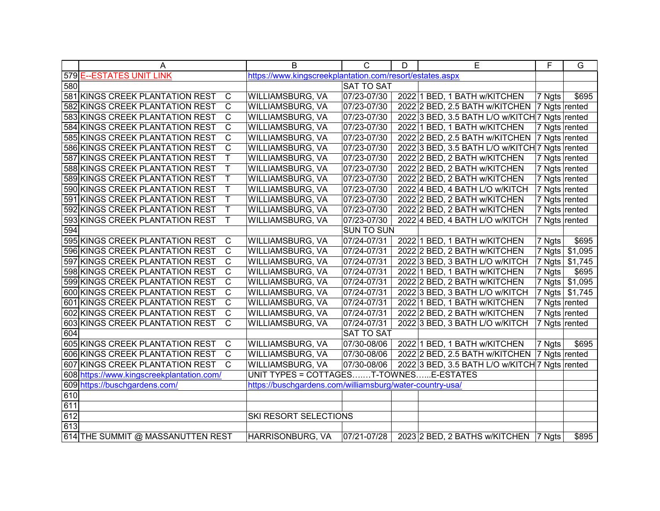|     | A                                                 | B                                                        | $\mathsf{C}$      | D | Е                                              | F                          | G              |
|-----|---------------------------------------------------|----------------------------------------------------------|-------------------|---|------------------------------------------------|----------------------------|----------------|
|     | 579 E--ESTATES UNIT LINK                          | https://www.kingscreekplantation.com/resort/estates.aspx |                   |   |                                                |                            |                |
| 580 |                                                   |                                                          | <b>SAT TO SAT</b> |   |                                                |                            |                |
|     | 581 KINGS CREEK PLANTATION REST<br>$\mathsf{C}$   | WILLIAMSBURG, VA                                         | 07/23-07/30       |   | 2022 1 BED, 1 BATH w/KITCHEN                   | 7 Ngts                     | \$695          |
|     | C<br>582 KINGS CREEK PLANTATION REST              | WILLIAMSBURG, VA                                         | 07/23-07/30       |   | 2022 2 BED, 2.5 BATH w/KITCHEN                 | 7 Ngts rented              |                |
|     | $\mathsf C$<br>583 KINGS CREEK PLANTATION REST    | WILLIAMSBURG, VA                                         | 07/23-07/30       |   | 2022 3 BED, 3.5 BATH L/O w/KITCH 7 Ngts rented |                            |                |
|     | $\mathsf{C}$<br>584 KINGS CREEK PLANTATION REST   | WILLIAMSBURG, VA                                         | 07/23-07/30       |   | 2022 1 BED, 1 BATH w/KITCHEN                   | 7 Ngts rented              |                |
|     | C<br>585 KINGS CREEK PLANTATION REST              | WILLIAMSBURG, VA                                         | 07/23-07/30       |   | 2022 2 BED, 2.5 BATH w/KITCHEN                 | 7 Ngts rented              |                |
|     | $\mathsf C$<br>586 KINGS CREEK PLANTATION REST    | WILLIAMSBURG, VA                                         | 07/23-07/30       |   | 2022 3 BED, 3.5 BATH L/O w/KITCH 7 Ngts rented |                            |                |
|     | Τ<br>587 KINGS CREEK PLANTATION REST              | WILLIAMSBURG, VA                                         | 07/23-07/30       |   | 2022 2 BED, 2 BATH w/KITCHEN                   | $\overline{7}$ Ngts rented |                |
|     | Τ<br>588 KINGS CREEK PLANTATION REST              | WILLIAMSBURG, VA                                         | 07/23-07/30       |   | 2022 2 BED, 2 BATH w/KITCHEN                   | 7 Ngts rented              |                |
|     | Τ<br>589 KINGS CREEK PLANTATION REST              | WILLIAMSBURG, VA                                         | 07/23-07/30       |   | 2022 2 BED, 2 BATH w/KITCHEN                   | 7 Ngts rented              |                |
|     | T<br>590 KINGS CREEK PLANTATION REST              | WILLIAMSBURG, VA                                         | 07/23-07/30       |   | 2022 4 BED, 4 BATH L/O w/KITCH                 | 7 Ngts rented              |                |
|     | 591 KINGS CREEK PLANTATION REST<br>Τ              | WILLIAMSBURG, VA                                         | 07/23-07/30       |   | 2022 2 BED, 2 BATH w/KITCHEN                   | 7 Ngts rented              |                |
|     | 592 KINGS CREEK PLANTATION REST<br>Τ              | WILLIAMSBURG, VA                                         | 07/23-07/30       |   | 2022 2 BED, 2 BATH w/KITCHEN                   | 7 Ngts rented              |                |
|     | 593 KINGS CREEK PLANTATION REST<br>Τ              | WILLIAMSBURG, VA                                         | 07/23-07/30       |   | 2022 4 BED, 4 BATH L/O w/KITCH                 | 7 Ngts rented              |                |
| 594 |                                                   |                                                          | <b>SUN TO SUN</b> |   |                                                |                            |                |
|     | 595 KINGS CREEK PLANTATION REST<br>$\mathbf C$    | WILLIAMSBURG, VA                                         | 07/24-07/31       |   | 2022 1 BED, 1 BATH w/KITCHEN                   | 7 Ngts                     | \$695          |
|     | $\mathsf{C}$<br>596 KINGS CREEK PLANTATION REST   | WILLIAMSBURG, VA                                         | 07/24-07/31       |   | 2022 2 BED, 2 BATH w/KITCHEN                   | 7 Ngts                     | \$1,095        |
|     | $\mathbf C$<br>597 KINGS CREEK PLANTATION REST    | WILLIAMSBURG, VA                                         | 07/24-07/31       |   | 2022 3 BED, 3 BATH L/O w/KITCH                 | 7 Ngts                     | \$1,745        |
|     | C<br>598 KINGS CREEK PLANTATION REST              | <b>WILLIAMSBURG, VA</b>                                  | 07/24-07/31       |   | 2022 1 BED, 1 BATH w/KITCHEN                   | 7 Ngts                     | \$695          |
|     | C<br>599 KINGS CREEK PLANTATION REST              | WILLIAMSBURG, VA                                         | 07/24-07/31       |   | 2022 2 BED, 2 BATH w/KITCHEN                   | 7 Ngts                     | \$1,095        |
|     | $\mathsf C$<br>600 KINGS CREEK PLANTATION REST    | WILLIAMSBURG, VA                                         | 07/24-07/31       |   | 2022 3 BED, 3 BATH L/O w/KITCH                 |                            | 7 Ngts \$1,745 |
|     | $\mathsf{C}$<br>601 KINGS CREEK PLANTATION REST   | WILLIAMSBURG, VA                                         | 07/24-07/31       |   | 2022 1 BED, 1 BATH w/KITCHEN                   | 7 Ngts rented              |                |
|     | $\mathsf C$<br>602 KINGS CREEK PLANTATION REST    | WILLIAMSBURG, VA                                         | 07/24-07/31       |   | 2022 2 BED, 2 BATH w/KITCHEN                   | 7 Ngts rented              |                |
|     | $\mathsf{C}$<br>603 KINGS CREEK PLANTATION REST   | WILLIAMSBURG, VA                                         | 07/24-07/31       |   | 2022 3 BED, 3 BATH L/O w/KITCH                 | 7 Ngts rented              |                |
| 604 |                                                   |                                                          | <b>SAT TO SAT</b> |   |                                                |                            |                |
|     | 605 KINGS CREEK PLANTATION REST<br>$\mathsf{C}$   | WILLIAMSBURG, VA                                         | 07/30-08/06       |   | 2022 1 BED, 1 BATH w/KITCHEN                   | 7 Ngts                     | \$695          |
|     | $\overline{C}$<br>606 KINGS CREEK PLANTATION REST | <b>WILLIAMSBURG, VA</b>                                  | 07/30-08/06       |   | 2022 2 BED, 2.5 BATH w/KITCHEN                 | 7 Ngts rented              |                |
|     | 607 KINGS CREEK PLANTATION REST<br>$\mathsf{C}$   | WILLIAMSBURG, VA                                         | 07/30-08/06       |   | 2022 3 BED, 3.5 BATH L/O w/KITCH 7 Ngts rented |                            |                |
|     | 608 https://www.kingscreekplantation.com/         | UNIT TYPES = COTTAGEST-TOWNESE-ESTATES                   |                   |   |                                                |                            |                |
|     | 609 https://buschgardens.com/                     | https://buschgardens.com/williamsburg/water-country-usa/ |                   |   |                                                |                            |                |
| 610 |                                                   |                                                          |                   |   |                                                |                            |                |
| 611 |                                                   |                                                          |                   |   |                                                |                            |                |
| 612 |                                                   | SKI RESORT SELECTIONS                                    |                   |   |                                                |                            |                |
| 613 |                                                   |                                                          |                   |   |                                                |                            |                |
|     | 614 THE SUMMIT @ MASSANUTTEN REST                 | HARRISONBURG, VA                                         | 07/21-07/28       |   | 2023 2 BED, 2 BATHS w/KITCHEN 7 Ngts           |                            | \$895          |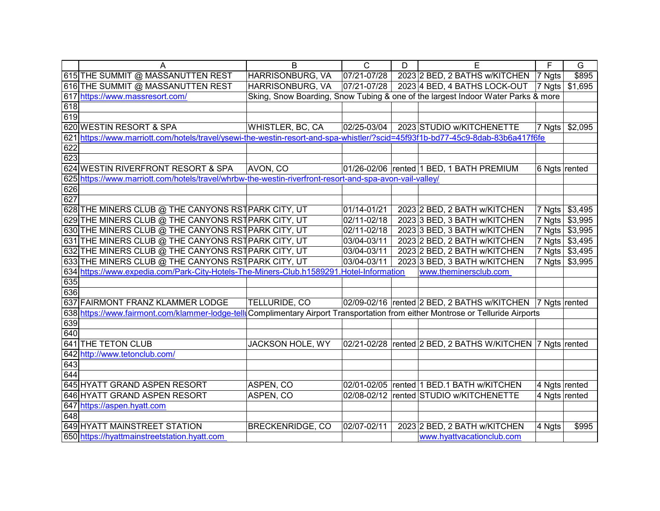|     | Α                                                                                                                               | B                       | $\mathsf C$ | D | E                                                                                | F                  | G       |
|-----|---------------------------------------------------------------------------------------------------------------------------------|-------------------------|-------------|---|----------------------------------------------------------------------------------|--------------------|---------|
|     | 615 THE SUMMIT @ MASSANUTTEN REST                                                                                               | HARRISONBURG, VA        | 07/21-07/28 |   | 2023 2 BED, 2 BATHS w/KITCHEN                                                    | 7 Ngts             | \$895   |
|     | 616 THE SUMMIT @ MASSANUTTEN REST                                                                                               | HARRISONBURG, VA        | 07/21-07/28 |   | 2023 4 BED, 4 BATHS LOCK-OUT                                                     | $ 7 \text{ Ngts} $ | \$1,695 |
|     | 617 https://www.massresort.com/                                                                                                 |                         |             |   | Sking, Snow Boarding, Snow Tubing & one of the largest Indoor Water Parks & more |                    |         |
| 618 |                                                                                                                                 |                         |             |   |                                                                                  |                    |         |
| 619 |                                                                                                                                 |                         |             |   |                                                                                  |                    |         |
|     | 620 WESTIN RESORT & SPA                                                                                                         | <b>WHISTLER, BC, CA</b> | 02/25-03/04 |   | 2023 STUDIO w/KITCHENETTE                                                        | 7 Ngts             | \$2,095 |
|     | 621 https://www.marriott.com/hotels/travel/ysewi-the-westin-resort-and-spa-whistler/?scid=45f93f1b-bd77-45c9-8dab-83b6a417f6fe  |                         |             |   |                                                                                  |                    |         |
| 622 |                                                                                                                                 |                         |             |   |                                                                                  |                    |         |
| 623 |                                                                                                                                 |                         |             |   |                                                                                  |                    |         |
|     | 624 WESTIN RIVERFRONT RESORT & SPA                                                                                              | AVON, CO                |             |   | 01/26-02/06  rented 1 BED, 1 BATH PREMIUM                                        | 6 Ngts rented      |         |
|     | 625 https://www.marriott.com/hotels/travel/whrbw-the-westin-riverfront-resort-and-spa-avon-vail-valley/                         |                         |             |   |                                                                                  |                    |         |
| 626 |                                                                                                                                 |                         |             |   |                                                                                  |                    |         |
| 627 |                                                                                                                                 |                         |             |   |                                                                                  |                    |         |
|     | 628 THE MINERS CLUB @ THE CANYONS RST PARK CITY, UT                                                                             |                         | 01/14-01/21 |   | 2023 2 BED, 2 BATH w/KITCHEN                                                     | 7 Ngts             | \$3,495 |
|     | 629 THE MINERS CLUB @ THE CANYONS RST PARK CITY, UT                                                                             |                         | 02/11-02/18 |   | 2023 3 BED, 3 BATH w/KITCHEN                                                     | 7 Ngts             | \$3,995 |
|     | 630 THE MINERS CLUB @ THE CANYONS RST PARK CITY, UT                                                                             |                         | 02/11-02/18 |   | 2023 3 BED, 3 BATH w/KITCHEN                                                     | 7 Ngts             | \$3,995 |
|     | 631 THE MINERS CLUB @ THE CANYONS RST PARK CITY, UT                                                                             |                         | 03/04-03/11 |   | 2023 2 BED, 2 BATH w/KITCHEN                                                     | 7 Ngts             | \$3,495 |
|     | 632 THE MINERS CLUB @ THE CANYONS RST PARK CITY, UT                                                                             |                         | 03/04-03/11 |   | 2023 2 BED, 2 BATH w/KITCHEN                                                     | 7 Ngts             | \$3,495 |
|     | 633 THE MINERS CLUB @ THE CANYONS RST PARK CITY, UT                                                                             |                         | 03/04-03/11 |   | 2023 3 BED, 3 BATH w/KITCHEN                                                     | 7 Ngts             | \$3,995 |
|     | 634 https://www.expedia.com/Park-City-Hotels-The-Miners-Club.h1589291.Hotel-Information                                         |                         |             |   | www.theminersclub.com                                                            |                    |         |
| 635 |                                                                                                                                 |                         |             |   |                                                                                  |                    |         |
| 636 |                                                                                                                                 |                         |             |   |                                                                                  |                    |         |
|     | 637 FAIRMONT FRANZ KLAMMER LODGE                                                                                                | TELLURIDE, CO           |             |   | 02/09-02/16 rented 2 BED, 2 BATHS w/KITCHEN  7 Ngts rented                       |                    |         |
|     | 638 https://www.fairmont.com/klammer-lodge-tell Complimentary Airport Transportation from either Montrose or Telluride Airports |                         |             |   |                                                                                  |                    |         |
| 639 |                                                                                                                                 |                         |             |   |                                                                                  |                    |         |
| 640 |                                                                                                                                 |                         |             |   |                                                                                  |                    |         |
|     | 641 THE TETON CLUB                                                                                                              | <b>JACKSON HOLE, WY</b> |             |   | 02/21-02/28 rented 2 BED, 2 BATHS W/KITCHEN   7 Ngts rented                      |                    |         |
|     | 642 http://www.tetonclub.com/                                                                                                   |                         |             |   |                                                                                  |                    |         |
| 643 |                                                                                                                                 |                         |             |   |                                                                                  |                    |         |
| 644 |                                                                                                                                 |                         |             |   |                                                                                  |                    |         |
|     | 645 HYATT GRAND ASPEN RESORT                                                                                                    | ASPEN, CO               |             |   | 02/01-02/05 rented 1 BED.1 BATH w/KITCHEN                                        | 4 Ngts rented      |         |
|     | 646 HYATT GRAND ASPEN RESORT                                                                                                    | ASPEN, CO               |             |   | 02/08-02/12 rented STUDIO w/KITCHENETTE                                          | 4 Ngts rented      |         |
|     | 647 https://aspen.hyatt.com                                                                                                     |                         |             |   |                                                                                  |                    |         |
| 648 |                                                                                                                                 |                         |             |   |                                                                                  |                    |         |
|     | 649 HYATT MAINSTREET STATION                                                                                                    | <b>BRECKENRIDGE, CO</b> | 02/07-02/11 |   | 2023 2 BED, 2 BATH w/KITCHEN                                                     | 4 Ngts             | \$995   |
|     | 650 https://hyattmainstreetstation.hyatt.com                                                                                    |                         |             |   | www.hyattvacationclub.com                                                        |                    |         |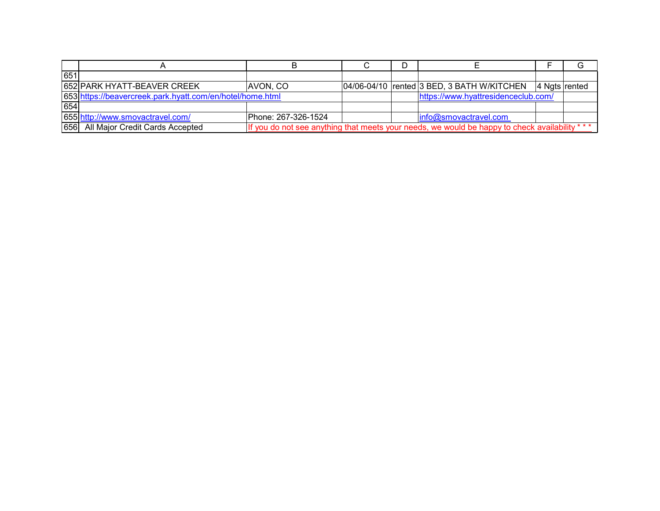| 651 |                                                           |                                                                                                 |  |  |                                              |  |                |
|-----|-----------------------------------------------------------|-------------------------------------------------------------------------------------------------|--|--|----------------------------------------------|--|----------------|
|     | 652 PARK HYATT-BEAVER CREEK                               | AVON, CO                                                                                        |  |  | 04/06-04/10   rented 3 BED, 3 BATH W/KITCHEN |  | ∣4 Ngts rented |
|     | 653 https://beavercreek.park.hyatt.com/en/hotel/home.html |                                                                                                 |  |  | https://www.hyattresidenceclub.com/          |  |                |
| 654 |                                                           |                                                                                                 |  |  |                                              |  |                |
|     | 655 http://www.smovactravel.com/                          | Phone: 267-326-1524                                                                             |  |  | info@smovactravel.com                        |  |                |
|     | 656 All Major Credit Cards Accepted                       | If you do not see anything that meets your needs, we would be happy to check availability * * * |  |  |                                              |  |                |